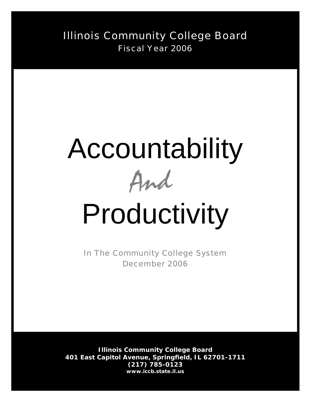Illinois Community College Board Fiscal Year 2006

# Accountability



# Productivity

In The Community College System December 2006

**Illinois Community College Board 401 East Capitol Avenue, Springfield, IL 62701-1711 (217) 785-0123** *www.iccb.state.il.us*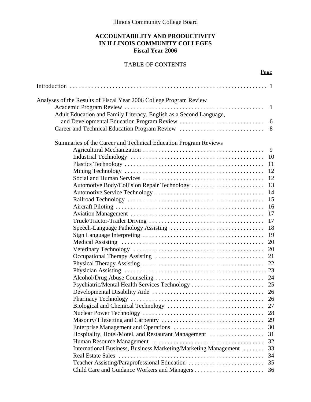Illinois Community College Board

# **ACCOUNTABILITY AND PRODUCTIVITY IN ILLINOIS COMMUNITY COLLEGES Fiscal Year 2006**

# TABLE OF CONTENTS

Page

| Analyses of the Results of Fiscal Year 2006 College Program Review |    |
|--------------------------------------------------------------------|----|
|                                                                    |    |
| Adult Education and Family Literacy, English as a Second Language, |    |
|                                                                    | 6  |
| Career and Technical Education Program Review                      | 8  |
| Summaries of the Career and Technical Education Program Reviews    |    |
|                                                                    | 9  |
|                                                                    | 10 |
|                                                                    | 11 |
|                                                                    | 12 |
|                                                                    | 12 |
| Automotive Body/Collision Repair Technology                        | 13 |
|                                                                    | 14 |
|                                                                    | 15 |
|                                                                    | 16 |
|                                                                    | 17 |
|                                                                    | 17 |
|                                                                    | 18 |
|                                                                    | 19 |
|                                                                    | 20 |
|                                                                    | 20 |
|                                                                    | 21 |
|                                                                    | 22 |
|                                                                    |    |
|                                                                    | 24 |
| Psychiatric/Mental Health Services Technology                      | 25 |
|                                                                    |    |
|                                                                    |    |
|                                                                    |    |
|                                                                    | 28 |
|                                                                    | 29 |
|                                                                    | 30 |
| Hospitality, Hotel/Motel, and Restaurant Management                | 31 |
|                                                                    | 32 |
| International Business, Business Marketing/Marketing Management    | 33 |
| Real Estate Sales                                                  | 34 |
| Teacher Assisting/Paraprofessional Education                       | 35 |
|                                                                    |    |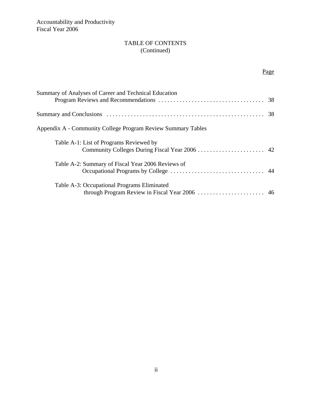# TABLE OF CONTENTS (Continued)

# Page

| Summary of Analyses of Career and Technical Education        |  |
|--------------------------------------------------------------|--|
|                                                              |  |
| Appendix A - Community College Program Review Summary Tables |  |
| Table A-1: List of Programs Reviewed by                      |  |
| Table A-2: Summary of Fiscal Year 2006 Reviews of            |  |
| Table A-3: Occupational Programs Eliminated                  |  |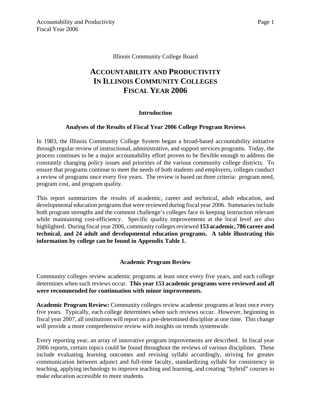#### Illinois Community College Board

# **ACCOUNTABILITY AND PRODUCTIVITY IN ILLINOIS COMMUNITY COLLEGES FISCAL YEAR 2006**

#### **Introduction**

#### **Analyses of the Results of Fiscal Year 2006 College Program Reviews**

In 1983, the Illinois Community College System began a broad-based accountability initiative through regular review of instructional, administrative, and support services programs. Today, the process continues to be a major accountability effort proven to be flexible enough to address the constantly changing policy issues and priorities of the various community college districts. To ensure that programs continue to meet the needs of both students and employers, colleges conduct a review of programs once every five years. The review is based on three criteria: program need, program cost, and program quality.

This report summarizes the results of academic, career and technical, adult education, and developmental education programs that were reviewed during fiscal year 2006. Summaries include both program strengths and the common challenge's colleges face in keeping instruction relevant while maintaining cost-efficiency. Specific quality improvements at the local level are also highlighted. During fiscal year 2006, community colleges reviewed **153 academic, 786 career and technical, and 24 adult and developmental education programs. A table illustrating this information by college can be found in Appendix Table 1.**

#### **Academic Program Review**

Community colleges review academic programs at least once every five years, and each college determines when such reviews occur. **This year 153 academic programs were reviewed and all were recommended for continuation with minor improvements.** 

**Academic Program Review:** Community colleges review academic programs at least once every five years. Typically, each college determines when such reviews occur. However, beginning in fiscal year 2007, all institutions will report on a pre-determined discipline at one time. This change will provide a more comprehensive review with insights on trends systemwide.

Every reporting year, an array of innovative program improvements are described. In fiscal year 2006 reports, certain topics could be found throughout the reviews of various disciplines. These include evaluating learning outcomes and revising syllabi accordingly, striving for greater communication between adjunct and full-time faculty, standardizing syllabi for consistency in teaching, applying technology to improve teaching and learning, and creating "hybrid" courses to make education accessible to more students.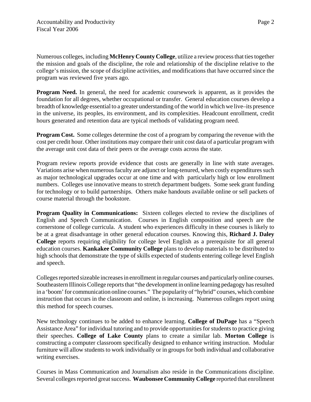Numerous colleges, including **McHenry County College**, utilize a review process that ties together the mission and goals of the discipline, the role and relationship of the discipline relative to the college's mission, the scope of discipline activities, and modifications that have occurred since the program was reviewed five years ago.

**Program Need.** In general, the need for academic coursework is apparent, as it provides the foundation for all degrees, whether occupational or transfer. General education courses develop a breadth of knowledge essential to a greater understanding of the world in which we live–its presence in the universe, its peoples, its environment, and its complexities. Headcount enrollment, credit hours generated and retention data are typical methods of validating program need.

**Program Cost.** Some colleges determine the cost of a program by comparing the revenue with the cost per credit hour. Other institutions may compare their unit cost data of a particular program with the average unit cost data of their peers or the average costs across the state.

Program review reports provide evidence that costs are generally in line with state averages. Variations arise when numerous faculty are adjunct or long-tenured, when costly expenditures such as major technological upgrades occur at one time and with particularly high or low enrollment numbers. Colleges use innovative means to stretch department budgets. Some seek grant funding for technology or to build partnerships. Others make handouts available online or sell packets of course material through the bookstore.

**Program Quality in Communications:** Sixteen colleges elected to review the disciplines of English and Speech Communication. Courses in English composition and speech are the cornerstone of college curricula. A student who experiences difficulty in these courses is likely to be at a great disadvantage in other general education courses. Knowing this, **Richard J. Daley College** reports requiring eligibility for college level English as a prerequisite for all general education courses. **Kankakee Community College** plans to develop materials to be distributed to high schools that demonstrate the type of skills expected of students entering college level English and speech.

Colleges reported sizeable increases in enrollment in regular courses and particularly online courses. Southeastern Illinois College reports that "the development in online learning pedagogy has resulted in a 'boom' for communication online courses." The popularity of "hybrid" courses, which combine instruction that occurs in the classroom and online, is increasing. Numerous colleges report using this method for speech courses.

New technology continues to be added to enhance learning. **College of DuPage** has a "Speech Assistance Area" for individual tutoring and to provide opportunities for students to practice giving their speeches. **College of Lake County** plans to create a similar lab. **Morton College** is constructing a computer classroom specifically designed to enhance writing instruction. Modular furniture will allow students to work individually or in groups for both individual and collaborative writing exercises.

Courses in Mass Communication and Journalism also reside in the Communications discipline. Several colleges reported great success. **Waubonsee Community College** reported that enrollment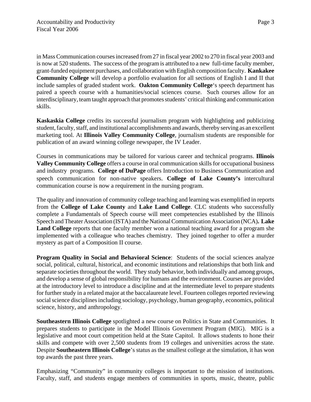in Mass Communication courses increased from 27 in fiscal year 2002 to 270 in fiscal year 2003 and is now at 520 students. The success of the program is attributed to a new full-time faculty member, grant-funded equipment purchases, and collaboration with English composition faculty. **Kankakee Community College** will develop a portfolio evaluation for all sections of English I and II that include samples of graded student work. **Oakton Community College**'s speech department has paired a speech course with a humanities/social sciences course. Such courses allow for an interdisciplinary, team taught approach that promotes students' critical thinking and communication skills.

**Kaskaskia College** credits its successful journalism program with highlighting and publicizing student, faculty, staff, and institutional accomplishments and awards, thereby serving as an excellent marketing tool. At **Illinois Valley Community College**, journalism students are responsible for publication of an award winning college newspaper, the IV Leader.

Courses in communications may be tailored for various career and technical programs. **Illinois Valley Community College** offers a course in oral communication skills for occupational business and industry programs. **College of DuPage** offers Introduction to Business Communication and speech communication for non-native speakers. **College of Lake County's** intercultural communication course is now a requirement in the nursing program.

The quality and innovation of community college teaching and learning was exemplified in reports from the **College of Lake County** and **Lake Land College**. CLC students who successfully complete a Fundamentals of Speech course will meet competencies established by the Illinois Speech and Theater Association (ISTA) and the National Communication Association (NCA)**. Lake Land College** reports that one faculty member won a national teaching award for a program she implemented with a colleague who teaches chemistry. They joined together to offer a murder mystery as part of a Composition II course.

**Program Quality in Social and Behavioral Science:** Students of the social sciences analyze social, political, cultural, historical, and economic institutions and relationships that both link and separate societies throughout the world. They study behavior, both individually and among groups, and develop a sense of global responsibility for humans and the environment. Courses are provided at the introductory level to introduce a discipline and at the intermediate level to prepare students for further study in a related major at the baccalaureate level. Fourteen colleges reported reviewing social science disciplines including sociology, psychology, human geography, economics, political science, history, and anthropology.

**Southeastern Illinois College** spotlighted a new course on Politics in State and Communities. It prepares students to participate in the Model Illinois Government Program (MIG). MIG is a legislative and moot court competition held at the State Capitol. It allows students to hone their skills and compete with over 2,500 students from 19 colleges and universities across the state. Despite **Southeastern Illinois College**'s status as the smallest college at the simulation, it has won top awards the past three years.

Emphasizing "Community" in community colleges is important to the mission of institutions. Faculty, staff, and students engage members of communities in sports, music, theatre, public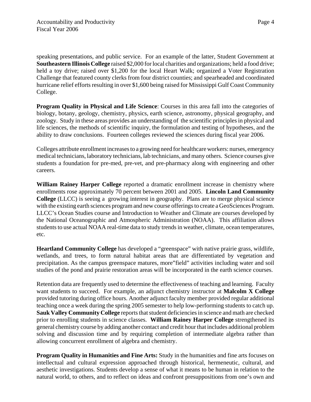speaking presentations, and public service. For an example of the latter, Student Government at **Southeastern Illinois College** raised \$2,000 for local charities and organizations; held a food drive; held a toy drive; raised over \$1,200 for the local Heart Walk; organized a Voter Registration Challenge that featured county clerks from four district counties; and spearheaded and coordinated hurricane relief efforts resulting in over \$1,600 being raised for Mississippi Gulf Coast Community College.

**Program Quality in Physical and Life Science**: Courses in this area fall into the categories of biology, botany, geology, chemistry, physics, earth science, astronomy, physical geography, and zoology. Study in these areas provides an understanding of the scientific principles in physical and life sciences, the methods of scientific inquiry, the formulation and testing of hypotheses, and the ability to draw conclusions. Fourteen colleges reviewed the sciences during fiscal year 2006.

Colleges attribute enrollment increases to a growing need for healthcare workers: nurses, emergency medical technicians, laboratory technicians, lab technicians, and many others. Science courses give students a foundation for pre-med, pre-vet, and pre-pharmacy along with engineering and other careers.

**William Rainey Harper College** reported a dramatic enrollment increase in chemistry where enrollments rose approximately 70 percent between 2001 and 2005. **Lincoln Land Community College** (LLCC) is seeing a growing interest in geography. Plans are to merge physical science with the existing earth sciences program and new course offerings to create a GeoSciences Program. LLCC's Ocean Studies course and Introduction to Weather and Climate are courses developed by the National Oceanographic and Atmospheric Administration (NOAA). This affiliation allows students to use actual NOAA real-time data to study trends in weather, climate, ocean temperatures, etc.

**Heartland Community College** has developed a "greenspace" with native prairie grass, wildlife, wetlands, and trees, to form natural habitat areas that are differentiated by vegetation and precipitation. As the campus greenspace matures, more"field" activities including water and soil studies of the pond and prairie restoration areas will be incorporated in the earth science courses.

Retention data are frequently used to determine the effectiveness of teaching and learning. Faculty want students to succeed. For example, an adjunct chemistry instructor at **Malcolm X College** provided tutoring during office hours. Another adjunct faculty member provided regular additional teaching once a week during the spring 2005 semester to help low-performing students to catch up. **Sauk Valley Community College** reports that student deficiencies in science and math are checked prior to enrolling students in science classes. **William Rainey Harper College** strengthened its general chemistry course by adding another contact and credit hour that includes additional problem solving and discussion time and by requiring completion of intermediate algebra rather than allowing concurrent enrollment of algebra and chemistry.

**Program Quality in Humanities and Fine Arts:** Study in the humanities and fine arts focuses on intellectual and cultural expression approached through historical, hermeneutic, cultural, and aesthetic investigations. Students develop a sense of what it means to be human in relation to the natural world, to others, and to reflect on ideas and confront presuppositions from one's own and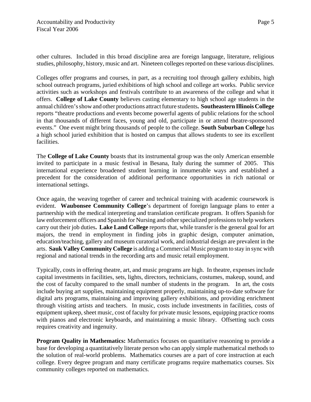other cultures. Included in this broad discipline area are foreign language, literature, religious studies, philosophy, history, music and art. Nineteen colleges reported on these various disciplines.

Colleges offer programs and courses, in part, as a recruiting tool through gallery exhibits, high school outreach programs, juried exhibitions of high school and college art works. Public service activities such as workshops and festivals contribute to an awareness of the college and what it offers. **College of Lake County** believes casting elementary to high school age students in the annual children's show and other productions attract future students**. Southeastern Illinois College** reports "theatre productions and events become powerful agents of public relations for the school in that thousands of different faces, young and old, participate in or attend theatre-sponsored events." One event might bring thousands of people to the college. **South Suburban College** has a high school juried exhibition that is hosted on campus that allows students to see its excellent facilities.

The **College of Lake County** boasts that its instrumental group was the only American ensemble invited to participate in a music festival in Besana, Italy during the summer of 2005. This international experience broadened student learning in innumerable ways and established a precedent for the consideration of additional performance opportunities in rich national or international settings.

Once again, the weaving together of career and technical training with academic coursework is evident. **Waubonsee Community College**'s department of foreign language plans to enter a partnership with the medical interpreting and translation certificate program. It offers Spanish for law enforcement officers and Spanish for Nursing and other specialized professions to help workers carry out their job duties**. Lake Land College** reports that, while transfer is the general goal for art majors, the trend in employment in finding jobs in graphic design, computer animation, education/teaching, gallery and museum curatorial work, and industrial design are prevalent in the arts. **Sauk Valley Community College** is adding a Commercial Music program to stay in sync with regional and national trends in the recording arts and music retail employment.

Typically, costs in offering theatre, art, and music programs are high. In theatre, expenses include capital investments in facilities, sets, lights, directors, technicians, costumes, makeup, sound, and the cost of faculty compared to the small number of students in the program. In art, the costs include buying art supplies, maintaining equipment properly, maintaining up-to-date software for digital arts programs, maintaining and improving gallery exhibitions, and providing enrichment through visiting artists and teachers. In music, costs include investments in facilities, costs of equipment upkeep, sheet music, cost of faculty for private music lessons, equipping practice rooms with pianos and electronic keyboards, and maintaining a music library. Offsetting such costs requires creativity and ingenuity.

**Program Quality in Mathematics:** Mathematics focuses on quantitative reasoning to provide a base for developing a quantitatively literate person who can apply simple mathematical methods to the solution of real-world problems. Mathematics courses are a part of core instruction at each college. Every degree program and many certificate programs require mathematics courses. Six community colleges reported on mathematics.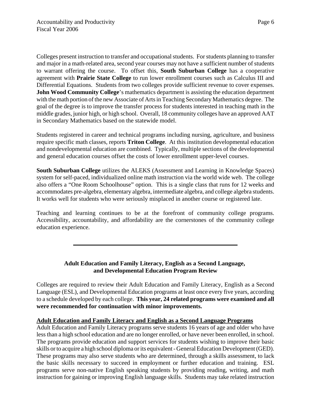Colleges present instruction to transfer and occupational students. For students planning to transfer and major in a math-related area, second year courses may not have a sufficient number of students to warrant offering the course. To offset this, **South Suburban College** has a cooperative agreement with **Prairie State College** to run lower enrollment courses such as Calculus III and Differential Equations. Students from two colleges provide sufficient revenue to cover expenses. **John Wood Community College's mathematics department is assisting the education department** with the math portion of the new Associate of Arts in Teaching Secondary Mathematics degree. The goal of the degree is to improve the transfer process for students interested in teaching math in the middle grades, junior high, or high school. Overall, 18 community colleges have an approved AAT in Secondary Mathematics based on the statewide model.

Students registered in career and technical programs including nursing, agriculture, and business require specific math classes, reports **Triton College**. At this institution developmental education and nondevelopmental education are combined. Typically, multiple sections of the developmental and general education courses offset the costs of lower enrollment upper-level courses.

**South Suburban College** utilizes the ALEKS (Assessment and Learning in Knowledge Spaces) system for self-paced, individualized online math instruction via the world wide web. The college also offers a "One Room Schoolhouse" option. This is a single class that runs for 12 weeks and accommodates pre-algebra, elementary algebra, intermediate algebra, and college algebra students. It works well for students who were seriously misplaced in another course or registered late.

Teaching and learning continues to be at the forefront of community college programs. Accessibility, accountability, and affordability are the cornerstones of the community college education experience.

# **Adult Education and Family Literacy, English as a Second Language, and Developmental Education Program Review**

Colleges are required to review their Adult Education and Family Literacy, English as a Second Language (ESL), and Developmental Education programs at least once every five years, according to a schedule developed by each college. **This year, 24 related programs were examined and all were recommended for continuation with minor improvements.**

# **Adult Education and Family Literacy and English as a Second Language Programs**

Adult Education and Family Literacy programs serve students 16 years of age and older who have less than a high school education and are no longer enrolled, or have never been enrolled, in school. The programs provide education and support services for students wishing to improve their basic skills or to acquire a high school diploma or its equivalent - General Education Development (GED). These programs may also serve students who are determined, through a skills assessment, to lack the basic skills necessary to succeed in employment or further education and training. ESL programs serve non-native English speaking students by providing reading, writing, and math instruction for gaining or improving English language skills. Students may take related instruction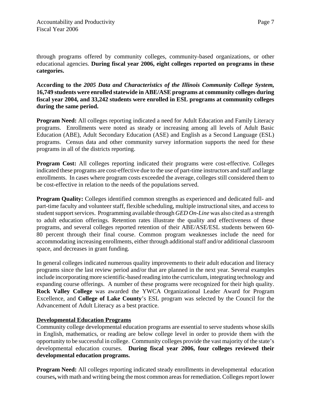through programs offered by community colleges, community-based organizations, or other educational agencies. **During fiscal year 2006, eight colleges reported on programs in these categories.**

**According to the** *2005 Data and Characteristics of the Illinois Community College System,* **16,749 students were enrolled statewide in ABE/ASE programs at community colleges during fiscal year 2004, and 33,242 students were enrolled in ESL programs at community colleges during the same period.** 

**Program Need:** All colleges reporting indicated a need for Adult Education and Family Literacy programs. Enrollments were noted as steady or increasing among all levels of Adult Basic Education (ABE), Adult Secondary Education (ASE) and English as a Second Language (ESL) programs. Census data and other community survey information supports the need for these programs in all of the districts reporting.

**Program Cost:** All colleges reporting indicated their programs were cost-effective. Colleges indicated these programs are cost-effective due to the use of part-time instructors and staff and large enrollments. In cases where program costs exceeded the average, colleges still considered them to be cost-effective in relation to the needs of the populations served.

**Program Quality:** Colleges identified common strengths as experienced and dedicated full- and part-time faculty and volunteer staff, flexible scheduling, multiple instructional sites, and access to student support services. Programming available through *GED On-Line* was also cited as a strength to adult education offerings. Retention rates illustrate the quality and effectiveness of these programs, and several colleges reported retention of their ABE/ASE/ESL students between 60- 80 percent through their final course. Common program weaknesses include the need for accommodating increasing enrollments, either through additional staff and/or additional classroom space, and decreases in grant funding.

In general colleges indicated numerous quality improvements to their adult education and literacy programs since the last review period and/or that are planned in the next year. Several examples include incorporating more scientific-based reading into the curriculum, integrating technology and expanding course offerings. A number of these programs were recognized for their high quality. **Rock Valley College** was awarded the YWCA Organizational Leader Award for Program Excellence, and **College of Lake County**'s ESL program was selected by the Council for the Advancement of Adult Literacy as a best practice.

# **Developmental Education Programs**

Community college developmental education programs are essential to serve students whose skills in English, mathematics, or reading are below college level in order to provide them with the opportunity to be successful in college. Community colleges provide the vast majority of the state's developmental education courses. **During fiscal year 2006, four colleges reviewed their developmental education programs.**

**Program Need:** All colleges reporting indicated steady enrollments in developmental education courses**,** with math and writing being the most common areas for remediation. Colleges report lower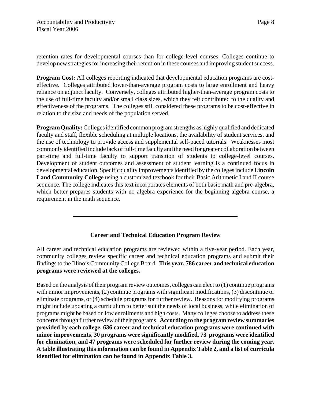retention rates for developmental courses than for college-level courses. Colleges continue to develop new strategies for increasing their retention in these courses and improving student success.

**Program Cost:** All colleges reporting indicated that developmental education programs are costeffective. Colleges attributed lower-than-average program costs to large enrollment and heavy reliance on adjunct faculty. Conversely, colleges attributed higher-than-average program costs to the use of full-time faculty and/or small class sizes, which they felt contributed to the quality and effectiveness of the programs. The colleges still considered these programs to be cost-effective in relation to the size and needs of the population served.

**Program Quality:** Colleges identified common program strengths as highly qualified and dedicated faculty and staff, flexible scheduling at multiple locations, the availability of student services, and the use of technology to provide access and supplemental self-paced tutorials. Weaknesses most commonly identified include lack of full-time faculty and the need for greater collaboration between part-time and full-time faculty to support transition of students to college-level courses. Development of student outcomes and assessment of student learning is a continued focus in developmental education. Specific quality improvements identified by the colleges include **Lincoln Land Community College** using a customized textbook for their Basic Arithmetic I and II course sequence. The college indicates this text incorporates elements of both basic math and pre-algebra, which better prepares students with no algebra experience for the beginning algebra course, a requirement in the math sequence.

# **Career and Technical Education Program Review**

All career and technical education programs are reviewed within a five-year period. Each year, community colleges review specific career and technical education programs and submit their findings to the Illinois Community College Board. **This year, 786 career and technical education programs were reviewed at the colleges.**

Based on the analysis of their program review outcomes, colleges can elect to (1) continue programs with minor improvements, (2) continue programs with significant modifications, (3) discontinue or eliminate programs, or (4) schedule programs for further review. Reasons for modifying programs might include updating a curriculum to better suit the needs of local business, while elimination of programs might be based on low enrollments and high costs. Many colleges choose to address these concerns through further review of their programs. **According to the program review summaries provided by each college, 636 career and technical education programs were continued with minor improvements, 30 programs were significantly modified, 73 programs were identified for elimination, and 47 programs were scheduled for further review during the coming year. A table illustrating this information can be found in Appendix Table 2, and a list of curricula identified for elimination can be found in Appendix Table 3.**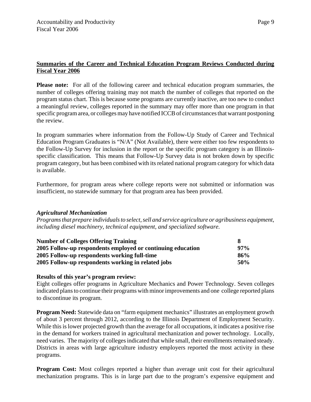# **Summaries of the Career and Technical Education Program Reviews Conducted during Fiscal Year 2006**

**Please note:** For all of the following career and technical education program summaries, the number of colleges offering training may not match the number of colleges that reported on the program status chart. This is because some programs are currently inactive, are too new to conduct a meaningful review, colleges reported in the summary may offer more than one program in that specific program area, or colleges may have notified ICCB of circumstances that warrant postponing the review.

In program summaries where information from the Follow-Up Study of Career and Technical Education Program Graduates is "N/A" (Not Available), there were either too few respondents to the Follow-Up Survey for inclusion in the report or the specific program category is an Illinoisspecific classification. This means that Follow-Up Survey data is not broken down by specific program category, but has been combined with its related national program category for which data is available.

Furthermore, for program areas where college reports were not submitted or information was insufficient, no statewide summary for that program area has been provided.

# *Agricultural Mechanization*

*Programs that prepare individuals to select, sell and service agriculture or agribusiness equipment, including diesel machinery, technical equipment, and specialized software.*

| <b>Number of Colleges Offering Training</b>                 |        |
|-------------------------------------------------------------|--------|
| 2005 Follow-up respondents employed or continuing education | $97\%$ |
| 2005 Follow-up respondents working full-time                | 86%    |
| 2005 Follow-up respondents working in related jobs          | 50%    |

#### **Results of this year's program review:**

Eight colleges offer programs in Agriculture Mechanics and Power Technology. Seven colleges indicated plans to continue their programs with minor improvements and one college reported plans to discontinue its program.

**Program Need:** Statewide data on "farm equipment mechanics" illustrates an employment growth of about 3 percent through 2012, according to the Illinois Department of Employment Security. While this is lower projected growth than the average for all occupations, it indicates a positive rise in the demand for workers trained in agricultural mechanization and power technology. Locally, need varies. The majority of colleges indicated that while small, their enrollments remained steady. Districts in areas with large agriculture industry employers reported the most activity in these programs.

**Program Cost:** Most colleges reported a higher than average unit cost for their agricultural mechanization programs. This is in large part due to the program's expensive equipment and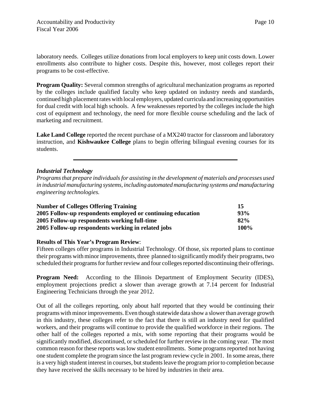laboratory needs. Colleges utilize donations from local employers to keep unit costs down. Lower enrollments also contribute to higher costs. Despite this, however, most colleges report their programs to be cost-effective.

**Program Quality:** Several common strengths of agricultural mechanization programs as reported by the colleges include qualified faculty who keep updated on industry needs and standards, continued high placement rates with local employers, updated curricula and increasing opportunities for dual credit with local high schools. A few weaknesses reported by the colleges include the high cost of equipment and technology, the need for more flexible course scheduling and the lack of marketing and recruitment.

**Lake Land College** reported the recent purchase of a MX240 tractor for classroom and laboratory instruction, and **Kishwaukee College** plans to begin offering bilingual evening courses for its students.

# *Industrial Technology*

*Programs that prepare individuals for assisting in the development of materials and processes used in industrial manufacturing systems, including automated manufacturing systems and manufacturing engineering technologies.*

| <b>Number of Colleges Offering Training</b>                 | 15   |
|-------------------------------------------------------------|------|
| 2005 Follow-up respondents employed or continuing education | 93%  |
| 2005 Follow-up respondents working full-time                | 82%  |
| 2005 Follow-up respondents working in related jobs          | 100% |

#### **Results of This Year's Program Review**:

Fifteen colleges offer programs in Industrial Technology. Of those, six reported plans to continue their programs with minor improvements, three planned to significantly modify their programs, two scheduled their programs for further review and four colleges reported discontinuing their offerings.

**Program Need:** According to the Illinois Department of Employment Security (IDES), employment projections predict a slower than average growth at 7.14 percent for Industrial Engineering Technicians through the year 2012.

Out of all the colleges reporting, only about half reported that they would be continuing their programs with minor improvements. Even though statewide data show a slower than average growth in this industry, these colleges refer to the fact that there is still an industry need for qualified workers, and their programs will continue to provide the qualified workforce in their regions. The other half of the colleges reported a mix, with some reporting that their programs would be significantly modified, discontinued, or scheduled for further review in the coming year. The most common reason for these reports was low student enrollments. Some programs reported not having one student complete the program since the last program review cycle in 2001. In some areas, there is a very high student interest in courses, but students leave the program prior to completion because they have received the skills necessary to be hired by industries in their area.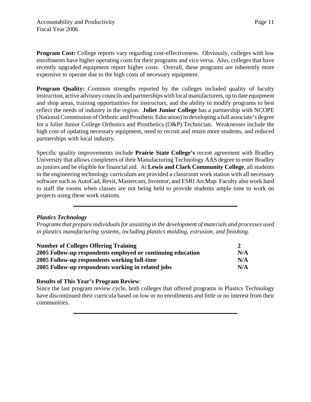**Program Cost:** College reports vary regarding cost-effectiveness. Obviously, colleges with low enrollments have higher operating costs for their programs and vice versa. Also, colleges that have recently upgraded equipment report higher costs. Overall, these programs are inherently more expensive to operate due to the high costs of necessary equipment.

**Program Quality:** Common strengths reported by the colleges included quality of faculty instruction, active advisory councils and partnerships with local manufacturers, up to date equipment and shop areas, training opportunities for instructors, and the ability to modify programs to best reflect the needs of industry in the region. **Joliet Junior College** has a partnership with NCOPE (National Commission of Orthotic and Prosthetic Education) in developing a full associate's degree for a Joliet Junior College Orthotics and Prosthetics (O&P) Technician. Weaknesses include the high cost of updating necessary equipment, need to recruit and retain more students, and reduced partnerships with local industry.

Specific quality improvements include **Prairie State College's** recent agreement with Bradley University that allows completers of their Manufacturing Technology AAS degree to enter Bradley as juniors and be eligible for financial aid. At **Lewis and Clark Community College**, all students in the engineering technology curriculum are provided a classroom work station with all necessary software such as AutoCad, Revit, Mastercam, Inventor, and ESRI ArcMap. Faculty also work hard to staff the rooms when classes are not being held to provide students ample time to work on projects using these work stations.

# *Plastics Technology*

*Programs that prepare individuals for assisting in the development of materials and processes used in plastics manufacturing systems, including plastics molding, extrusion, and finishing.*

| <b>Number of Colleges Offering Training</b><br>2005 Follow-up respondents employed or continuing education<br>2005 Follow-up respondents working full-time |     |
|------------------------------------------------------------------------------------------------------------------------------------------------------------|-----|
|                                                                                                                                                            | N/A |
|                                                                                                                                                            | N/A |
| 2005 Follow-up respondents working in related jobs                                                                                                         | N/A |

# **Results of This Year's Program Review**:

Since the last program review cycle, both colleges that offered programs in Plastics Technology have discontinued their curricula based on low or no enrollments and little or no interest from their communities.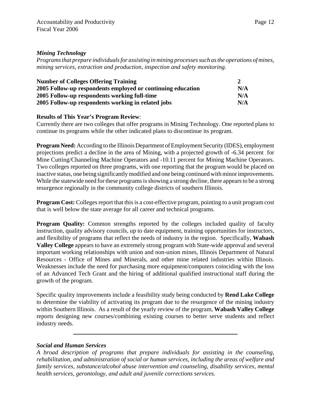# *Mining Technology*

*Programs that prepare individuals for assisting in mining processes such as the operations of mines, mining services, extraction and production, inspection and safety monitoring.*

| <b>Number of Colleges Offering Training</b>                 |     |
|-------------------------------------------------------------|-----|
| 2005 Follow-up respondents employed or continuing education | N/A |
| 2005 Follow-up respondents working full-time                | N/A |
| 2005 Follow-up respondents working in related jobs          | N/A |

# **Results of This Year's Program Review**:

Currently there are two colleges that offer programs in Mining Technology. One reported plans to continue its programs while the other indicated plans to discontinue its program.

**Program Need:** According to the Illinois Department of Employment Security (IDES), employment projections predict a decline in the area of Mining, with a projected growth of -6.34 percent for Mine Cutting/Channeling Machine Operators and -10.11 percent for Mining Machine Operators. Two colleges reported on three programs, with one reporting that the program would be placed on inactive status, one being significantly modified and one being continued with minor improvements. While the statewide need for these programs is showing a strong decline, there appears to be a strong resurgence regionally in the community college districts of southern Illinois.

**Program Cost:** Colleges report that this is a cost-effective program, pointing to a unit program cost that is well below the state average for all career and technical programs.

**Program Quality:** Common strengths reported by the colleges included quality of faculty instruction, quality advisory councils, up to date equipment, training opportunities for instructors, and flexibility of programs that reflect the needs of industry in the region. Specifically, **Wabash Valley College** appears to have an extremely strong program with State-wide approval and several important working relationships with union and non-union mines, Illinois Department of Natural Resources - Office of Mines and Minerals, and other mine related industries within Illinois. Weaknesses include the need for purchasing more equipment/computers coinciding with the loss of an Advanced Tech Grant and the hiring of additional qualified instructional staff during the growth of the program.

Specific quality improvements include a feasibility study being conducted by **Rend Lake College** to determine the viability of activating its program due to the resurgence of the mining industry within Southern Illinois. As a result of the yearly review of the program, **Wabash Valley College** reports designing new courses/combining existing courses to better serve students and reflect industry needs.

#### *Social and Human Services*

*A broad description of programs that prepare individuals for assisting in the counseling, rehabilitation, and administration of social or human services, including the areas of welfare and family services, substance/alcohol abuse intervention and counseling, disability services, mental health services, gerontology, and adult and juvenile corrections services.*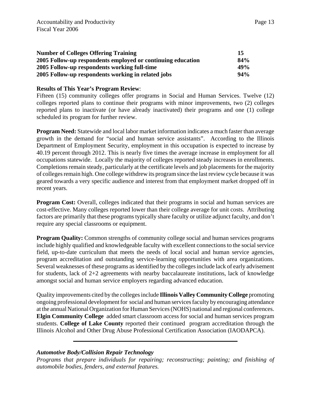| <b>Number of Colleges Offering Training</b>                 | 15  |
|-------------------------------------------------------------|-----|
| 2005 Follow-up respondents employed or continuing education | 84% |
| 2005 Follow-up respondents working full-time                | 49% |
| 2005 Follow-up respondents working in related jobs          | 94% |

Fifteen (15) community colleges offer programs in Social and Human Services. Twelve (12) colleges reported plans to continue their programs with minor improvements, two (2) colleges reported plans to inactivate (or have already inactivated) their programs and one (1) college scheduled its program for further review.

**Program Need:** Statewide and local labor market information indicates a much faster than average growth in the demand for "social and human service assistants". According to the Illinois Department of Employment Security, employment in this occupation is expected to increase by 40.19 percent through 2012. This is nearly five times the average increase in employment for all occupations statewide. Locally the majority of colleges reported steady increases in enrollments. Completions remain steady, particularly at the certificate levels and job placements for the majority of colleges remain high. One college withdrew its program since the last review cycle because it was geared towards a very specific audience and interest from that employment market dropped off in recent years.

**Program Cost:** Overall, colleges indicated that their programs in social and human services are cost-effective. Many colleges reported lower than their college average for unit costs. Attributing factors are primarily that these programs typically share faculty or utilize adjunct faculty, and don't require any special classrooms or equipment.

**Program Quality:** Common strengths of community college social and human services programs include highly qualified and knowledgeable faculty with excellent connections to the social service field, up-to-date curriculum that meets the needs of local social and human service agencies, program accreditation and outstanding service-learning opportunities with area organizations. Several weaknesses of these programs as identified by the colleges include lack of early advisement for students, lack of 2+2 agreements with nearby baccalaureate institutions, lack of knowledge amongst social and human service employers regarding advanced education.

Quality improvements cited by the colleges include **Illinois Valley Community College** promoting ongoing professional development for social and human services faculty by encouraging attendance at the annual National Organization for Human Services (NOHS) national and regional conferences. **Elgin Community College** added smart classroom access for social and human services program students. **College of Lake County** reported their continued program accreditation through the Illinois Alcohol and Other Drug Abuse Professional Certification Association (IAODAPCA).

#### *Automotive Body/Collision Repair Technology*

*Programs that prepare individuals for repairing; reconstructing; painting; and finishing of automobile bodies, fenders, and external features.*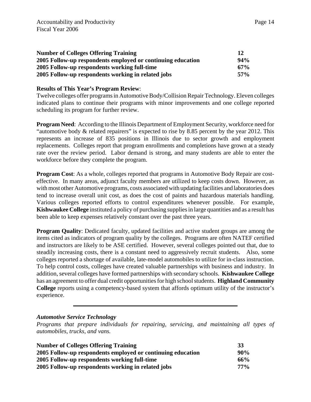| <b>Number of Colleges Offering Training</b>                 |        |
|-------------------------------------------------------------|--------|
| 2005 Follow-up respondents employed or continuing education | $94\%$ |
| 2005 Follow-up respondents working full-time                | $67\%$ |
| 2005 Follow-up respondents working in related jobs          | 57%    |

Twelve colleges offer programs in Automotive Body/Collision Repair Technology. Eleven colleges indicated plans to continue their programs with minor improvements and one college reported scheduling its program for further review.

**Program Need**: According to the Illinois Department of Employment Security, workforce need for "automotive body & related repairers" is expected to rise by 8.85 percent by the year 2012. This represents an increase of 835 positions in Illinois due to sector growth and employment replacements. Colleges report that program enrollments and completions have grown at a steady rate over the review period. Labor demand is strong, and many students are able to enter the workforce before they complete the program.

**Program Cost**: As a whole, colleges reported that programs in Automotive Body Repair are costeffective. In many areas, adjunct faculty members are utilized to keep costs down. However, as with most other Automotive programs, costs associated with updating facilities and laboratories does tend to increase overall unit cost, as does the cost of paints and hazardous materials handling. Various colleges reported efforts to control expenditures whenever possible. For example, **Kishwaukee College** instituted a policy of purchasing supplies in large quantities and as a result has been able to keep expenses relatively constant over the past three years.

**Program Quality:** Dedicated faculty, updated facilities and active student groups are among the items cited as indicators of program quality by the colleges. Programs are often NATEF certified and instructors are likely to be ASE certified. However, several colleges pointed out that, due to steadily increasing costs, there is a constant need to aggressively recruit students. Also, some colleges reported a shortage of available, late-model automobiles to utilize for in-class instruction. To help control costs, colleges have created valuable partnerships with business and industry. In addition, several colleges have formed partnerships with secondary schools. **Kishwaukee College** has an agreement to offer dual credit opportunities for high school students. **Highland Community College** reports using a competency-based system that affords optimum utility of the instructor's experience.

# *Automotive Service Technology*

*Programs that prepare individuals for repairing, servicing, and maintaining all types of automobiles, trucks, and vans.*

| <b>Number of Colleges Offering Training</b>                 | 33     |
|-------------------------------------------------------------|--------|
| 2005 Follow-up respondents employed or continuing education | $90\%$ |
| 2005 Follow-up respondents working full-time                | 66%    |
| 2005 Follow-up respondents working in related jobs          | 77%    |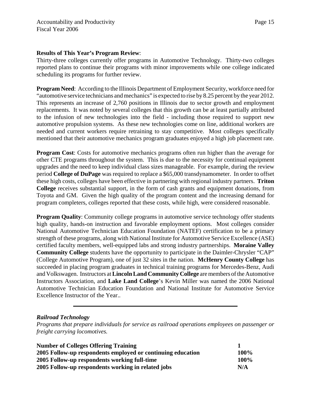Thirty-three colleges currently offer programs in Automotive Technology. Thirty-two colleges reported plans to continue their programs with minor improvements while one college indicated scheduling its programs for further review.

**Program Need**: According to the Illinois Department of Employment Security, workforce need for "automotive service technicians and mechanics" is expected to rise by 8.25 percent by the year 2012. This represents an increase of 2,760 positions in Illinois due to sector growth and employment replacements. It was noted by several colleges that this growth can be at least partially attributed to the infusion of new technologies into the field - including those required to support new automotive propulsion systems. As these new technologies come on line, additional workers are needed and current workers require retraining to stay competitive. Most colleges specifically mentioned that their automotive mechanics program graduates enjoyed a high job placement rate.

**Program Cost**: Costs for automotive mechanics programs often run higher than the average for other CTE programs throughout the system. This is due to the necessity for continual equipment upgrades and the need to keep individual class sizes manageable. For example, during the review period **College of DuPage** was required to replace a \$65,000 transdynamometer. In order to offset these high costs, colleges have been effective in partnering with regional industry partners. **Triton College** receives substantial support, in the form of cash grants and equipment donations, from Toyota and GM. Given the high quality of the program content and the increasing demand for program completers, colleges reported that these costs, while high, were considered reasonable.

**Program Quality:** Community college programs in automotive service technology offer students high quality, hands-on instruction and favorable employment options. Most colleges consider National Automotive Technician Education Foundation (NATEF) certification to be a primary strength of these programs, along with National Institute for Automotive Service Excellence (ASE) certified faculty members, well-equipped labs and strong industry partnerships. **Moraine Valley Community College** students have the opportunity to participate in the Daimler-Chrysler "CAP" (College Automotive Program), one of just 32 sites in the nation. **McHenry County College** has succeeded in placing program graduates in technical training programs for Mercedes-Benz, Audi and Volkswagen. Instructors at **Lincoln Land Community College** are members of the Automotive Instructors Association, and **Lake Land College**'s Kevin Miller was named the 2006 National Automotive Technician Education Foundation and National Institute for Automotive Service Excellence Instructor of the Year..

# *Railroad Technology*

*Programs that prepare individuals for service as railroad operations employees on passenger or freight carrying locomotives.*

| <b>Number of Colleges Offering Training</b>                 |             |
|-------------------------------------------------------------|-------------|
| 2005 Follow-up respondents employed or continuing education | <b>100%</b> |
| 2005 Follow-up respondents working full-time                | <b>100%</b> |
| 2005 Follow-up respondents working in related jobs          | N/A         |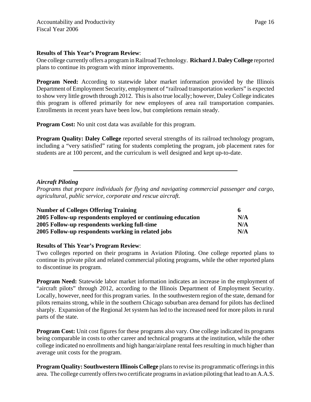One college currently offers a program in Railroad Technology. **Richard J. Daley College** reported plans to continue its program with minor improvements.

**Program Need:** According to statewide labor market information provided by the Illinois Department of Employment Security, employment of "railroad transportation workers" is expected to show very little growth through 2012. This is also true locally; however, Daley College indicates this program is offered primarily for new employees of area rail transportation companies. Enrollments in recent years have been low, but completions remain steady.

**Program Cost:** No unit cost data was available for this program.

**Program Quality: Daley College** reported several strengths of its railroad technology program, including a "very satisfied" rating for students completing the program, job placement rates for students are at 100 percent, and the curriculum is well designed and kept up-to-date.

# *Aircraft Piloting*

*Programs that prepare individuals for flying and navigating commercial passenger and cargo, agricultural, public service, corporate and rescue aircraft.*

| <b>Number of Colleges Offering Training</b>                 |     |
|-------------------------------------------------------------|-----|
| 2005 Follow-up respondents employed or continuing education | N/A |
| 2005 Follow-up respondents working full-time                | N/A |
| 2005 Follow-up respondents working in related jobs          | N/A |

# **Results of This Year's Program Review**:

Two colleges reported on their programs in Aviation Piloting. One college reported plans to continue its private pilot and related commercial piloting programs, while the other reported plans to discontinue its program.

**Program Need:** Statewide labor market information indicates an increase in the employment of "aircraft pilots" through 2012, according to the Illinois Department of Employment Security. Locally, however, need for this program varies. In the southwestern region of the state, demand for pilots remains strong, while in the southern Chicago suburban area demand for pilots has declined sharply. Expansion of the Regional Jet system has led to the increased need for more pilots in rural parts of the state.

**Program Cost:** Unit cost figures for these programs also vary. One college indicated its programs being comparable in costs to other career and technical programs at the institution, while the other college indicated no enrollments and high hangar/airplane rental fees resulting in much higher than average unit costs for the program.

**Program Quality: Southwestern Illinois College** plans to revise its programmatic offerings in this area. The college currently offers two certificate programs in aviation piloting that lead to an A.A.S.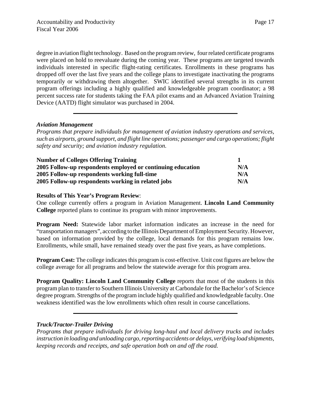degree in aviation flight technology. Based on the program review, four related certificate programs were placed on hold to reevaluate during the coming year. These programs are targeted towards individuals interested in specific flight-rating certificates. Enrollments in these programs has dropped off over the last five years and the college plans to investigate inactivating the programs temporarily or withdrawing them altogether. SWIC identified several strengths in its current program offerings including a highly qualified and knowledgeable program coordinator; a 98 percent success rate for students taking the FAA pilot exams and an Advanced Aviation Training Device (AATD) flight simulator was purchased in 2004.

# *Aviation Management*

*Programs that prepare individuals for management of aviation industry operations and services, such as airports, ground support, and flight line operations; passenger and cargo operations; flight safety and security; and aviation industry regulation.*

| <b>Number of Colleges Offering Training</b><br>2005 Follow-up respondents employed or continuing education<br>2005 Follow-up respondents working full-time |     |
|------------------------------------------------------------------------------------------------------------------------------------------------------------|-----|
|                                                                                                                                                            | N/A |
|                                                                                                                                                            | N/A |
| 2005 Follow-up respondents working in related jobs                                                                                                         | N/A |

# **Results of This Year's Program Review**:

One college currently offers a program in Aviation Management. **Lincoln Land Community College** reported plans to continue its program with minor improvements.

**Program Need:** Statewide labor market information indicates an increase in the need for "transportation managers", according to the Illinois Department of Employment Security. However, based on information provided by the college, local demands for this program remains low. Enrollments, while small, have remained steady over the past five years, as have completions.

**Program Cost:** The college indicates this program is cost-effective. Unit cost figures are below the college average for all programs and below the statewide average for this program area.

**Program Quality: Lincoln Land Community College** reports that most of the students in this program plan to transfer to Southern Illinois University at Carbondale for the Bachelor's of Science degree program. Strengths of the program include highly qualified and knowledgeable faculty. One weakness identified was the low enrollments which often result in course cancellations.

# *Truck/Tractor-Trailer Driving*

*Programs that prepare individuals for driving long-haul and local delivery trucks and includes instruction in loading and unloading cargo, reporting accidents or delays, verifying load shipments, keeping records and receipts, and safe operation both on and off the road.*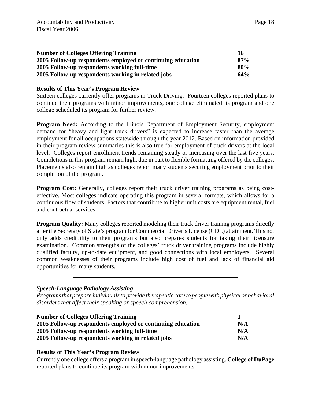| <b>Number of Colleges Offering Training</b>                 | 16  |
|-------------------------------------------------------------|-----|
| 2005 Follow-up respondents employed or continuing education | 87% |
| 2005 Follow-up respondents working full-time                | 80% |
| 2005 Follow-up respondents working in related jobs          | 64% |

Sixteen colleges currently offer programs in Truck Driving. Fourteen colleges reported plans to continue their programs with minor improvements, one college eliminated its program and one college scheduled its program for further review.

**Program Need:** According to the Illinois Department of Employment Security, employment demand for "heavy and light truck drivers" is expected to increase faster than the average employment for all occupations statewide through the year 2012. Based on information provided in their program review summaries this is also true for employment of truck drivers at the local level. Colleges report enrollment trends remaining steady or increasing over the last five years. Completions in this program remain high, due in part to flexible formatting offered by the colleges. Placements also remain high as colleges report many students securing employment prior to their completion of the program.

**Program Cost:** Generally, colleges report their truck driver training programs as being costeffective. Most colleges indicate operating this program in several formats, which allows for a continuous flow of students. Factors that contribute to higher unit costs are equipment rental, fuel and contractual services.

**Program Quality:** Many colleges reported modeling their truck driver training programs directly after the Secretary of State's program for Commercial Driver's License (CDL) attainment. This not only adds credibility to their programs but also prepares students for taking their licensure examination. Common strengths of the colleges' truck driver training programs include highly qualified faculty, up-to-date equipment, and good connections with local employers. Several common weaknesses of their programs include high cost of fuel and lack of financial aid opportunities for many students.

#### *Speech-Language Pathology Assisting*

*Programs that prepare individuals to provide therapeutic care to people with physical or behavioral disorders that affect their speaking or speech comprehension.*

| <b>Number of Colleges Offering Training</b>                 |     |
|-------------------------------------------------------------|-----|
| 2005 Follow-up respondents employed or continuing education | N/A |
| 2005 Follow-up respondents working full-time                | N/A |
| 2005 Follow-up respondents working in related jobs          | N/A |

#### **Results of This Year's Program Review**:

Currently one college offers a program in speech-language pathology assisting. **College of DuPage** reported plans to continue its program with minor improvements.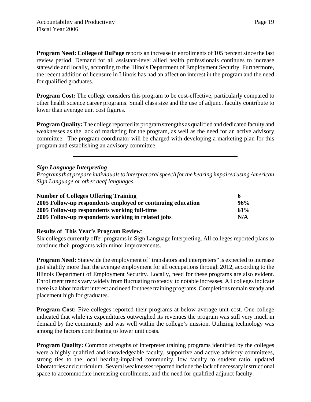**Program Need: College of DuPage** reports an increase in enrollments of 105 percent since the last review period. Demand for all assistant-level allied health professionals continues to increase statewide and locally, according to the Illinois Department of Employment Security. Furthermore, the recent addition of licensure in Illinois has had an affect on interest in the program and the need for qualified graduates.

**Program Cost:** The college considers this program to be cost-effective, particularly compared to other health science career programs. Small class size and the use of adjunct faculty contribute to lower than average unit cost figures.

**Program Quality:** The college reported its program strengths as qualified and dedicated faculty and weaknesses as the lack of marketing for the program, as well as the need for an active advisory committee. The program coordinator will be charged with developing a marketing plan for this program and establishing an advisory committee.

# *Sign Language Interpreting*

*Programs that prepare individuals to interpret oral speech for the hearing impaired using American Sign Language or other deaf languages.*

| <b>Number of Colleges Offering Training</b><br>2005 Follow-up respondents employed or continuing education | 96% |
|------------------------------------------------------------------------------------------------------------|-----|
|                                                                                                            |     |
| 2005 Follow-up respondents working in related jobs                                                         | N/A |

# **Results of This Year's Program Review**:

Six colleges currently offer programs in Sign Language Interpreting. All colleges reported plans to continue their programs with minor improvements.

**Program Need:** Statewide the employment of "translators and interpreters" is expected to increase just slightly more than the average employment for all occupations through 2012, according to the Illinois Department of Employment Security. Locally, need for these programs are also evident. Enrollment trends vary widely from fluctuating to steady to notable increases. All colleges indicate there is a labor market interest and need for these training programs. Completions remain steady and placement high for graduates.

**Program Cost:** Five colleges reported their programs at below average unit cost. One college indicated that while its expenditures outweighed its revenues the program was still very much in demand by the community and was well within the college's mission. Utilizing technology was among the factors contributing to lower unit costs.

**Program Quality:** Common strengths of interpreter training programs identified by the colleges were a highly qualified and knowledgeable faculty, supportive and active advisory committees, strong ties to the local hearing-impaired community, low faculty to student ratio, updated laboratories and curriculum. Several weaknesses reported include the lack of necessary instructional space to accommodate increasing enrollments, and the need for qualified adjunct faculty.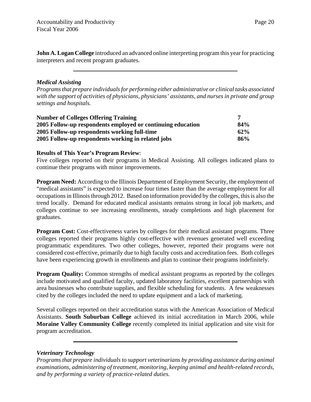**John A. Logan College** introduced an advanced online interpreting program this year for practicing interpreters and recent program graduates.

# *Medical Assisting*

*Programs that prepare individuals for performing either administrative or clinical tasks associated with the support of activities of physicians, physicians' assistants, and nurses in private and group settings and hospitals.*

| <b>Number of Colleges Offering Training</b>                 |     |
|-------------------------------------------------------------|-----|
| 2005 Follow-up respondents employed or continuing education | 84% |
| 2005 Follow-up respondents working full-time                | 62% |
| 2005 Follow-up respondents working in related jobs          | 86% |

#### **Results of This Year's Program Review**:

Five colleges reported on their programs in Medical Assisting. All colleges indicated plans to continue their programs with minor improvements.

**Program Need:** According to the Illinois Department of Employment Security, the employment of "medical assistants" is expected to increase four times faster than the average employment for all occupations in Illinois through 2012. Based on information provided by the colleges, this is also the trend locally. Demand for educated medical assistants remains strong in local job markets, and colleges continue to see increasing enrollments, steady completions and high placement for graduates.

**Program Cost:** Cost-effectiveness varies by colleges for their medical assistant programs. Three colleges reported their programs highly cost-effective with revenues generated well exceeding programmatic expenditures. Two other colleges, however, reported their programs were not considered cost-effective, primarily due to high faculty costs and accreditation fees. Both colleges have been experiencing growth in enrollments and plan to continue their programs indefinitely.

**Program Quality:** Common strengths of medical assistant programs as reported by the colleges include motivated and qualified faculty, updated laboratory facilities, excellent partnerships with area businesses who contribute supplies, and flexible scheduling for students. A few weaknesses cited by the colleges included the need to update equipment and a lack of marketing.

Several colleges reported on their accreditation status with the American Association of Medical Assistants. **South Suburban College** achieved its initial accreditation in March 2006, while **Moraine Valley Community College** recently completed its initial application and site visit for program accreditation.

#### *Veterinary Technology*

*Programs that prepare individuals to support veterinarians by providing assistance during animal examinations, administering of treatment, monitoring, keeping animal and health-related records, and by performing a variety of practice-related duties.*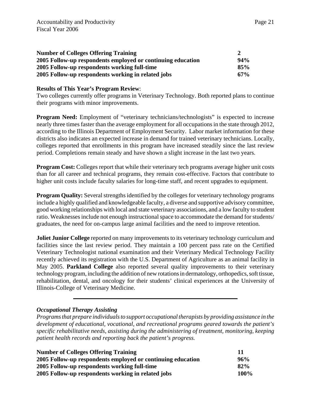| <b>Number of Colleges Offering Training</b>                 |        |
|-------------------------------------------------------------|--------|
| 2005 Follow-up respondents employed or continuing education | $94\%$ |
| 2005 Follow-up respondents working full-time                | 85%    |
| 2005 Follow-up respondents working in related jobs          | $67\%$ |

Two colleges currently offer programs in Veterinary Technology. Both reported plans to continue their programs with minor improvements.

**Program Need:** Employment of "veterinary technicians/technologists" is expected to increase nearly three times faster than the average employment for all occupations in the state through 2012, according to the Illinois Department of Employment Security. Labor market information for these districts also indicates an expected increase in demand for trained veterinary technicians. Locally, colleges reported that enrollments in this program have increased steadily since the last review period. Completions remain steady and have shown a slight increase in the last two years.

**Program Cost:** Colleges report that while their veterinary tech programs average higher unit costs than for all career and technical programs, they remain cost-effective. Factors that contribute to higher unit costs include faculty salaries for long-time staff, and recent upgrades to equipment.

**Program Quality:** Several strengths identified by the colleges for veterinary technology programs include a highly qualified and knowledgeable faculty, a diverse and supportive advisory committee, good working relationships with local and state veterinary associations, and a low faculty to student ratio. Weaknesses include not enough instructional space to accommodate the demand for students/ graduates, the need for on-campus large animal facilities and the need to improve retention.

**Joliet Junior College** reported on many improvements to its veterinary technology curriculum and facilities since the last review period. They maintain a 100 percent pass rate on the Certified Veterinary Technologist national examination and their Veterinary Medical Technology Facility recently achieved its registration with the U.S. Department of Agriculture as an animal facility in May 2005. **Parkland College** also reported several quality improvements to their veterinary technology program, including the addition of new rotations in dermatology, orthopedics, soft tissue, rehabilitation, dental, and oncology for their students' clinical experiences at the University of Illinois-College of Veterinary Medicine.

# *Occupational Therapy Assisting*

*Programs that prepare individuals to support occupational therapists by providing assistance in the development of educational, vocational, and recreational programs geared towards the patient's specific rehabilitative needs, assisting during the administering of treatment, monitoring, keeping patient health records and reporting back the patient's progress.*

| <b>Number of Colleges Offering Training</b>                 | 11      |
|-------------------------------------------------------------|---------|
| 2005 Follow-up respondents employed or continuing education | 96%     |
| 2005 Follow-up respondents working full-time                | 82%     |
| 2005 Follow-up respondents working in related jobs          | $100\%$ |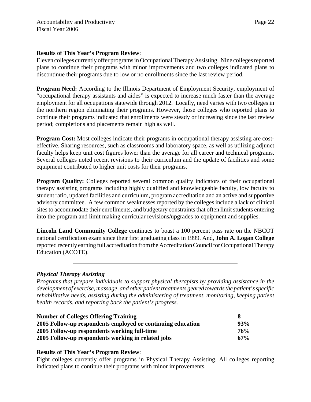Eleven colleges currently offer programs in Occupational Therapy Assisting. Nine colleges reported plans to continue their programs with minor improvements and two colleges indicated plans to discontinue their programs due to low or no enrollments since the last review period.

**Program Need:** According to the Illinois Department of Employment Security, employment of "occupational therapy assistants and aides" is expected to increase much faster than the average employment for all occupations statewide through 2012. Locally, need varies with two colleges in the northern region eliminating their programs. However, those colleges who reported plans to continue their programs indicated that enrollments were steady or increasing since the last review period; completions and placements remain high as well.

**Program Cost:** Most colleges indicate their programs in occupational therapy assisting are costeffective. Sharing resources, such as classrooms and laboratory space, as well as utilizing adjunct faculty helps keep unit cost figures lower than the average for all career and technical programs. Several colleges noted recent revisions to their curriculum and the update of facilities and some equipment contributed to higher unit costs for their programs.

**Program Quality:** Colleges reported several common quality indicators of their occupational therapy assisting programs including highly qualified and knowledgeable faculty, low faculty to student ratio, updated facilities and curriculum, program accreditation and an active and supportive advisory committee. A few common weaknesses reported by the colleges include a lack of clinical sites to accommodate their enrollments, and budgetary constraints that often limit students entering into the program and limit making curricular revisions/upgrades to equipment and supplies.

**Lincoln Land Community College** continues to boast a 100 percent pass rate on the NBCOT national certification exam since their first graduating class in 1999. And, **John A. Logan College** reported recently earning full accreditation from the Accreditation Council for Occupational Therapy Education (ACOTE).

# *Physical Therapy Assisting*

*Programs that prepare individuals to support physical therapists by providing assistance in the development of exercise, massage, and other patient treatments geared towards the patient's specific rehabilitative needs, assisting during the administering of treatment, monitoring, keeping patient health records, and reporting back the patient's progress.*

| <b>Number of Colleges Offering Training</b>                 |        |
|-------------------------------------------------------------|--------|
| 2005 Follow-up respondents employed or continuing education | 93%    |
| 2005 Follow-up respondents working full-time                | 76%    |
| 2005 Follow-up respondents working in related jobs          | $67\%$ |

#### **Results of This Year's Program Review**:

Eight colleges currently offer programs in Physical Therapy Assisting. All colleges reporting indicated plans to continue their programs with minor improvements.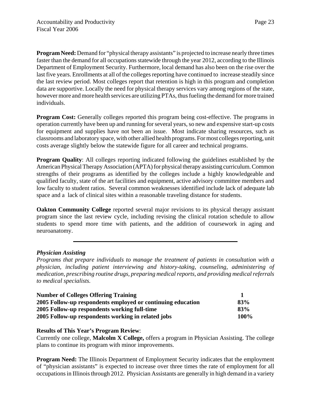**Program Need:** Demand for "physical therapy assistants" is projected to increase nearly three times faster than the demand for all occupations statewide through the year 2012, according to the Illinois Department of Employment Security. Furthermore, local demand has also been on the rise over the last five years. Enrollments at all of the colleges reporting have continued to increase steadily since the last review period. Most colleges report that retention is high in this program and completion data are supportive. Locally the need for physical therapy services vary among regions of the state, however more and more health services are utilizing PTAs, thus fueling the demand for more trained individuals.

**Program Cost:** Generally colleges reported this program being cost-effective. The programs in operation currently have been up and running for several years, so new and expensive start-up costs for equipment and supplies have not been an issue. Most indicate sharing resources, such as classrooms and laboratory space, with other allied health programs. For most colleges reporting, unit costs average slightly below the statewide figure for all career and technical programs.

**Program Quality:** All colleges reporting indicated following the guidelines established by the American Physical Therapy Association (APTA) for physical therapy assisting curriculum. Common strengths of their programs as identified by the colleges include a highly knowledgeable and qualified faculty, state of the art facilities and equipment, active advisory committee members and low faculty to student ratios. Several common weaknesses identified include lack of adequate lab space and a lack of clinical sites within a reasonable traveling distance for students.

**Oakton Community College** reported several major revisions to its physical therapy assistant program since the last review cycle, including revising the clinical rotation schedule to allow students to spend more time with patients, and the addition of coursework in aging and neuroanatomy.

# *Physician Assisting*

*Programs that prepare individuals to manage the treatment of patients in consultation with a physician, including patient interviewing and history-taking, counseling, administering of medication, prescribing routine drugs, preparing medical reports, and providing medical referrals to medical specialists.*

| <b>Number of Colleges Offering Training</b>                 |      |
|-------------------------------------------------------------|------|
| 2005 Follow-up respondents employed or continuing education | 83%  |
| 2005 Follow-up respondents working full-time                | 83%  |
| 2005 Follow-up respondents working in related jobs          | 100% |

# **Results of This Year's Program Review**:

Currently one college, **Malcolm X College,** offers a program in Physician Assisting. The college plans to continue its program with minor improvements.

**Program Need:** The Illinois Department of Employment Security indicates that the employment of "physician assistants" is expected to increase over three times the rate of employment for all occupations in Illinois through 2012. Physician Assistants are generally in high demand in a variety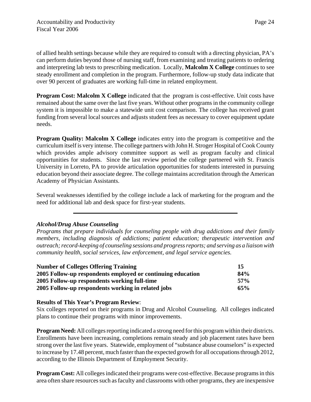of allied health settings because while they are required to consult with a directing physician, PA's can perform duties beyond those of nursing staff, from examining and treating patients to ordering and interpreting lab tests to prescribing medication. Locally, **Malcolm X College** continues to see steady enrollment and completion in the program. Furthermore, follow-up study data indicate that over 90 percent of graduates are working full-time in related employment.

**Program Cost: Malcolm X College** indicated that the program is cost-effective. Unit costs have remained about the same over the last five years. Without other programs in the community college system it is impossible to make a statewide unit cost comparison. The college has received grant funding from several local sources and adjusts student fees as necessary to cover equipment update needs.

**Program Quality: Malcolm X College** indicates entry into the program is competitive and the curriculum itself is very intense. The college partners with John H. Stroger Hospital of Cook County which provides ample advisory committee support as well as program faculty and clinical opportunities for students. Since the last review period the college partnered with St. Francis University in Lorreto, PA to provide articulation opportunities for students interested in pursuing education beyond their associate degree. The college maintains accreditation through the American Academy of Physician Assistants.

Several weaknesses identified by the college include a lack of marketing for the program and the need for additional lab and desk space for first-year students.

# *Alcohol/Drug Abuse Counseling*

*Programs that prepare individuals for counseling people with drug addictions and their family members, including diagnosis of addictions; patient education; therapeutic intervention and outreach; record-keeping of counseling sessions and progress reports; and serving as a liaison with community health, social services, law enforcement, and legal service agencies.*

| <b>Number of Colleges Offering Training</b><br>2005 Follow-up respondents employed or continuing education<br>2005 Follow-up respondents working full-time | 15  |
|------------------------------------------------------------------------------------------------------------------------------------------------------------|-----|
|                                                                                                                                                            | 84% |
|                                                                                                                                                            | 57% |
| 2005 Follow-up respondents working in related jobs                                                                                                         | 65% |

# **Results of This Year's Program Review**:

Six colleges reported on their programs in Drug and Alcohol Counseling. All colleges indicated plans to continue their programs with minor improvements.

**Program Need:** All colleges reporting indicated a strong need for this program within their districts. Enrollments have been increasing, completions remain steady and job placement rates have been strong over the last five years. Statewide, employment of "substance abuse counselors" is expected to increase by 17.48 percent, much faster than the expected growth for all occupations through 2012, according to the Illinois Department of Employment Security.

**Program Cost:** All colleges indicated their programs were cost-effective. Because programs in this area often share resources such as faculty and classrooms with other programs, they are inexpensive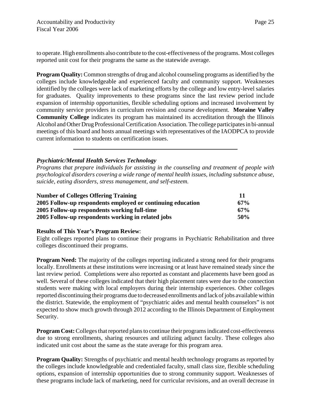to operate. High enrollments also contribute to the cost-effectiveness of the programs. Most colleges reported unit cost for their programs the same as the statewide average.

**Program Quality:** Common strengths of drug and alcohol counseling programs as identified by the colleges include knowledgeable and experienced faculty and community support. Weaknesses identified by the colleges were lack of marketing efforts by the college and low entry-level salaries for graduates. Quality improvements to these programs since the last review period include expansion of internship opportunities, flexible scheduling options and increased involvement by community service providers in curriculum revision and course development. **Moraine Valley Community College** indicates its program has maintained its accreditation through the Illinois Alcohol and Other Drug Professional Certification Association. The college participates in bi-annual meetings of this board and hosts annual meetings with representatives of the IAODPCA to provide current information to students on certification issues.

# *Psychiatric/Mental Health Services Technology*

*Programs that prepare individuals for assisting in the counseling and treatment of people with psychological disorders covering a wide range of mental health issues, including substance abuse, suicide, eating disorders, stress management, and self-esteem.*

| <b>Number of Colleges Offering Training</b><br>2005 Follow-up respondents employed or continuing education |     |
|------------------------------------------------------------------------------------------------------------|-----|
|                                                                                                            | 67% |
| 2005 Follow-up respondents working full-time                                                               | 67% |
| 2005 Follow-up respondents working in related jobs                                                         | 50% |

#### **Results of This Year's Program Review**:

Eight colleges reported plans to continue their programs in Psychiatric Rehabilitation and three colleges discontinued their programs.

**Program Need:** The majority of the colleges reporting indicated a strong need for their programs locally. Enrollments at these institutions were increasing or at least have remained steady since the last review period. Completions were also reported as constant and placements have been good as well. Several of these colleges indicated that their high placement rates were due to the connection students were making with local employers during their internship experiences. Other colleges reported discontinuing their programs due to decreased enrollments and lack of jobs available within the district. Statewide, the employment of "psychiatric aides and mental health counselors" is not expected to show much growth through 2012 according to the Illinois Department of Employment Security.

**Program Cost:** Colleges that reported plans to continue their programs indicated cost-effectiveness due to strong enrollments, sharing resources and utilizing adjunct faculty. These colleges also indicated unit cost about the same as the state average for this program area.

**Program Quality:** Strengths of psychiatric and mental health technology programs as reported by the colleges include knowledgeable and credentialed faculty, small class size, flexible scheduling options, expansion of internship opportunities due to strong community support. Weaknesses of these programs include lack of marketing, need for curricular revisions, and an overall decrease in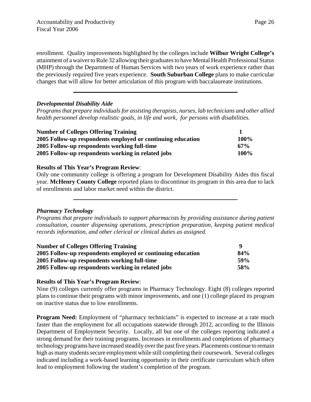enrollment. Quality improvements highlighted by the colleges include **Wilbur Wright College's** attainment of a waiver to Rule 32 allowing their graduates to have Mental Health Professional Status (MHP) through the Department of Human Services with two years of work experience rather than the previously required five years experience. **South Suburban College** plans to make curricular changes that will allow for better articulation of this program with baccalaureate institutions.

# *Developmental Disability Aide*

*Programs that prepare individuals for assisting therapists, nurses, lab technicians and other allied health personnel develop realistic goals, in life and work, for persons with disabilities.*

| <b>Number of Colleges Offering Training</b><br>2005 Follow-up respondents employed or continuing education |        |
|------------------------------------------------------------------------------------------------------------|--------|
|                                                                                                            | 100%   |
| 2005 Follow-up respondents working full-time                                                               | $67\%$ |
| 2005 Follow-up respondents working in related jobs                                                         | 100%   |

# **Results of This Year's Program Review**:

Only one community college is offering a program for Development Disability Aides this fiscal year. **McHenry County College** reported plans to discontinue its program in this area due to lack of enrollments and labor market need within the district.

# *Pharmacy Technology*

*Programs that prepare individuals to support pharmacists by providing assistance during patient consultation, counter dispensing operations, prescription preparation, keeping patient medical records information, and other clerical or clinical duties as assigned.*

| <b>Number of Colleges Offering Training</b>                 |            |
|-------------------------------------------------------------|------------|
| 2005 Follow-up respondents employed or continuing education | 84%        |
| 2005 Follow-up respondents working full-time                | <b>59%</b> |
| 2005 Follow-up respondents working in related jobs          | <b>58%</b> |

# **Results of This Year's Program Review**:

Nine (9) colleges currently offer programs in Pharmacy Technology. Eight (8) colleges reported plans to continue their programs with minor improvements, and one (1) college placed its program on inactive status due to low enrollments.

**Program Need:** Employment of "pharmacy technicians" is expected to increase at a rate much faster than the employment for all occupations statewide through 2012, according to the Illinois Department of Employment Security. Locally, all but one of the colleges reporting indicated a strong demand for their training programs. Increases in enrollments and completions of pharmacy technology programs have increased steadily over the past five years. Placements continue to remain high as many students secure employment while still completing their coursework. Several colleges indicated including a work-based learning opportunity in their certificate curriculum which often lead to employment following the student's completion of the program.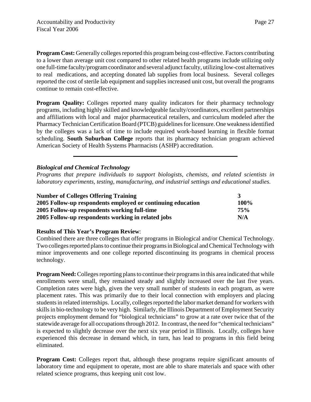**Program Cost:** Generally colleges reported this program being cost-effective. Factors contributing to a lower than average unit cost compared to other related health programs include utilizing only one full-time faculty/program coordinator and several adjunct faculty, utilizing low-cost alternatives to real medications, and accepting donated lab supplies from local business. Several colleges reported the cost of sterile lab equipment and supplies increased unit cost, but overall the programs continue to remain cost-effective.

**Program Quality:** Colleges reported many quality indicators for their pharmacy technology programs, including highly skilled and knowledgeable faculty/coordinators, excellent partnerships and affiliations with local and major pharmaceutical retailers, and curriculum modeled after the Pharmacy Technician Certification Board (PTCB) guidelines for licensure. One weakness identified by the colleges was a lack of time to include required work-based learning in flexible format scheduling. **South Suburban College** reports that its pharmacy technician program achieved American Society of Health Systems Pharmacists (ASHP) accreditation.

# *Biological and Chemical Technology*

*Programs that prepare individuals to support biologists, chemists, and related scientists in laboratory experiments, testing, manufacturing, and industrial settings and educational studies*.

| <b>Number of Colleges Offering Training</b>                 |      |
|-------------------------------------------------------------|------|
| 2005 Follow-up respondents employed or continuing education | 100% |
| 2005 Follow-up respondents working full-time                | 75%  |
| 2005 Follow-up respondents working in related jobs          | N/A  |

# **Results of This Year's Program Review**:

Combined there are three colleges that offer programs in Biological and/or Chemical Technology. Two colleges reported plans to continue their programs in Biological and Chemical Technology with minor improvements and one college reported discontinuing its programs in chemical process technology.

**Program Need:** Colleges reporting plans to continue their programs in this area indicated that while enrollments were small, they remained steady and slightly increased over the last five years. Completion rates were high, given the very small number of students in each program, as were placement rates. This was primarily due to their local connection with employers and placing students in related internships. Locally, colleges reported the labor market demand for workers with skills in bio-technology to be very high. Similarly, the Illinois Department of Employment Security projects employment demand for "biological technicians" to grow at a rate over twice that of the statewide average for all occupations through 2012. In contrast, the need for "chemical technicians" is expected to slightly decrease over the next six year period in Illinois. Locally, colleges have experienced this decrease in demand which, in turn, has lead to programs in this field being eliminated.

**Program Cost:** Colleges report that, although these programs require significant amounts of laboratory time and equipment to operate, most are able to share materials and space with other related science programs, thus keeping unit cost low.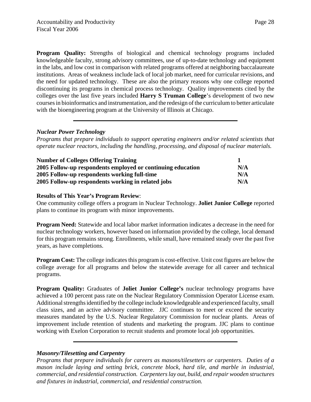**Program Quality:** Strengths of biological and chemical technology programs included knowledgeable faculty, strong advisory committees, use of up-to-date technology and equipment in the labs, and low cost in comparison with related programs offered at neighboring baccalaureate institutions. Areas of weakness include lack of local job market, need for curricular revisions, and the need for updated technology. These are also the primary reasons why one college reported discontinuing its programs in chemical process technology. Quality improvements cited by the colleges over the last five years included **Harry S Truman College**'s development of two new courses in bioinformatics and instrumentation, and the redesign of the curriculum to better articulate with the bioengineering program at the University of Illinois at Chicago.

#### *Nuclear Power Technology*

*Programs that prepare individuals to support operating engineers and/or related scientists that operate nuclear reactors, including the handling, processing, and disposal of nuclear materials.*

| <b>Number of Colleges Offering Training</b>                 |     |
|-------------------------------------------------------------|-----|
| 2005 Follow-up respondents employed or continuing education | N/A |
| 2005 Follow-up respondents working full-time                | N/A |
| 2005 Follow-up respondents working in related jobs          | N/A |

#### **Results of This Year's Program Review**:

One community college offers a program in Nuclear Technology. **Joliet Junior College** reported plans to continue its program with minor improvements.

**Program Need:** Statewide and local labor market information indicates a decrease in the need for nuclear technology workers, however based on information provided by the college, local demand for this program remains strong. Enrollments, while small, have remained steady over the past five years, as have completions.

**Program Cost:** The college indicates this program is cost-effective. Unit cost figures are below the college average for all programs and below the statewide average for all career and technical programs.

**Program Quality:** Graduates of **Joliet Junior College's** nuclear technology programs have achieved a 100 percent pass rate on the Nuclear Regulatory Commission Operator License exam. Additional strengths identified by the college include knowledgeable and experienced faculty, small class sizes, and an active advisory committee. JJC continues to meet or exceed the security measures mandated by the U.S. Nuclear Regulatory Commission for nuclear plants. Areas of improvement include retention of students and marketing the program. JJC plans to continue working with Exelon Corporation to recruit students and promote local job opportunities.

#### *Masonry/Tilesetting and Carpentry*

*Programs that prepare individuals for careers as masons/tilesetters or carpenters. Duties of a mason include laying and setting brick, concrete block, hard tile, and marble in industrial, commercial, and residential construction. Carpenters lay out, build, and repair wooden structures and fixtures in industrial, commercial, and residential construction.*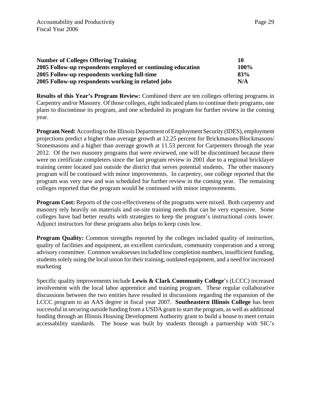| <b>Number of Colleges Offering Training</b>                 |             |
|-------------------------------------------------------------|-------------|
| 2005 Follow-up respondents employed or continuing education | <b>100%</b> |
| 2005 Follow-up respondents working full-time                | 83%         |
| 2005 Follow-up respondents working in related jobs          | N/A         |

**Results of this Year's Program Review:** Combined there are ten colleges offering programs in Carpentry and/or Masonry. Of those colleges, eight indicated plans to continue their programs, one plans to discontinue its program, and one scheduled its program for further review in the coming year.

**Program Need:** According to the Illinois Department of Employment Security (IDES), employment projections predict a higher than average growth at 12.25 percent for Brickmasons/Blockmasons/ Stonemasons and a higher than average growth at 11.53 percent for Carpenters through the year 2012. Of the two masonry programs that were reviewed, one will be discontinued because there were no certificate completers since the last program review in 2001 due to a regional bricklayer training center located just outside the district that serves potential students. The other masonry program will be continued with minor improvements. In carpentry, one college reported that the program was very new and was scheduled for further review in the coming year. The remaining colleges reported that the program would be continued with minor improvements.

**Program Cost:** Reports of the cost-effectiveness of the programs were mixed. Both carpentry and masonry rely heavily on materials and on-site training needs that can be very expensive. Some colleges have had better results with strategies to keep the program's instructional costs lower. Adjunct instructors for these programs also helps to keep costs low.

**Program Quality:** Common strengths reported by the colleges included quality of instruction, quality of facilities and equipment, an excellent curriculum, community cooperation and a strong advisory committee. Common weaknesses included low completion numbers, insufficient funding, students solely using the local union for their training, outdated equipment, and a need for increased marketing

Specific quality improvements include **Lewis & Clark Community College**'s (LCCC) increased involvement with the local labor apprentice and training program. These regular collaborative discussions between the two entities have resulted in discussions regarding the expansion of the LCCC program to an AAS degree in fiscal year 2007. **Southeastern Illinois College** has been successful in securing outside funding from a USDA grant to start the program, as well as additional funding through an Illinois Housing Development Authority grant to build a house to meet certain accessability standards. The house was built by students through a partnership with SIC's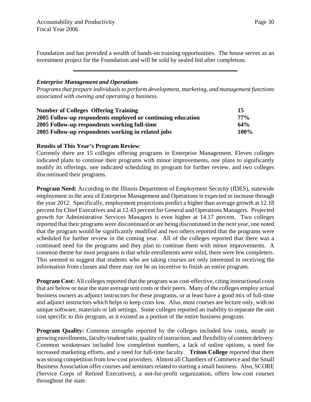Foundation and has provided a wealth of hands-on training opportunities. The house serves as an investment project for the Foundation and will be sold by sealed bid after completion.

# *Enterprise Management and Operations*

*Programs that prepare individuals to perform development, marketing, and management functions associated with owning and operating a business.*

| <b>Number of Colleges Offering Training</b>                 | 15     |
|-------------------------------------------------------------|--------|
| 2005 Follow-up respondents employed or continuing education | $77\%$ |
| 2005 Follow-up respondents working full-time                | 64%    |
| 2005 Follow-up respondents working in related jobs          | 100%   |

# **Results of This Year's Program Review**:

Currently there are 15 colleges offering programs in Enterprise Management. Eleven colleges indicated plans to continue their programs with minor improvements, one plans to significantly modify its offerings, one indicated scheduling its program for further review, and two colleges discontinued their programs.

**Program Need:** According to the Illinois Department of Employment Security (IDES), statewide employment in the area of Enterprise Management and Operations is expected to increase through the year 2012. Specifically, employment projections predict a higher than average growth at 12.18 percent for Chief Executives and at 12.43 percent for General and Operations Managers. Projected growth for Administrative Services Managers is even higher at 14.17 percent. Two colleges reported that their programs were discontinued or are being discontinued in the next year, one noted that the program would be significantly modified and two others reported that the programs were scheduled for further review in the coming year. All of the colleges reported that there was a continued need for the programs and they plan to continue them with minor improvements. A common theme for most programs is that while enrollments were solid, there were few completers. This seemed to suggest that students who are taking courses are only interested in receiving the information from classes and there may not be an incentive to finish an entire program.

**Program Cost:** All colleges reported that the program was cost-effective, citing instructional costs that are below or near the state average unit costs or their peers. Many of the colleges employ actual business owners as adjunct instructors for these programs, or at least have a good mix of full-time and adjunct instructors which helps to keep costs low. Also, most courses are lecture only, with no unique software, materials or lab settings. Some colleges reported an inability to separate the unit cost specific to this program, as it existed as a portion of the entire business program.

**Program Quality:** Common strengths reported by the colleges included low costs, steady or growing enrollments, faculty/student ratio, quality of instruction, and flexibility of content delivery. Common weaknesses included low completion numbers, a lack of online options, a need for increased marketing efforts, and a need for full-time faculty. **Triton College** reported that there was strong competition from low-cost providers. Almost all Chambers of Commerce and the Small Business Association offer courses and seminars related to starting a small business. Also, SCORE (Service Corps of Retired Executives), a not-for-profit organization, offers low-cost courses throughout the state.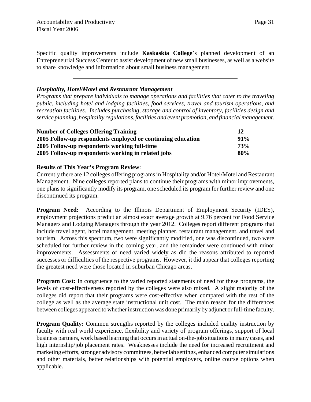Specific quality improvements include **Kaskaskia College**'s planned development of an Entrepreneurial Success Center to assist development of new small businesses, as well as a website to share knowledge and information about small business management.

# *Hospitality, Hotel/Motel and Restaurant Management*

*Programs that prepare individuals to manage operations and facilities that cater to the traveling public, including hotel and lodging facilities, food services, travel and tourism operations, and recreation facilities. Includes purchasing, storage and control of inventory, facilities design and service planning, hospitality regulations, facilities and event promotion, and financial management.*

| <b>Number of Colleges Offering Training</b>                 |     |
|-------------------------------------------------------------|-----|
| 2005 Follow-up respondents employed or continuing education | 91% |
| 2005 Follow-up respondents working full-time                | 73% |
| 2005 Follow-up respondents working in related jobs          | 80% |

#### **Results of This Year's Program Review**:

Currently there are 12 colleges offering programs in Hospitality and/or Hotel/Motel and Restaurant Management. Nine colleges reported plans to continue their programs with minor improvements, one plans to significantly modify its program, one scheduled its program for further review and one discontinued its program.

**Program Need:** According to the Illinois Department of Employment Security (IDES), employment projections predict an almost exact average growth at 9.76 percent for Food Service Managers and Lodging Managers through the year 2012. Colleges report different programs that include travel agent, hotel management, meeting planner, restaurant management, and travel and tourism. Across this spectrum, two were significantly modified, one was discontinued, two were scheduled for further review in the coming year, and the remainder were continued with minor improvements. Assessments of need varied widely as did the reasons attributed to reported successes or difficulties of the respective programs. However, it did appear that colleges reporting the greatest need were those located in suburban Chicago areas.

**Program Cost:** In congruence to the varied reported statements of need for these programs, the levels of cost-effectiveness reported by the colleges were also mixed. A slight majority of the colleges did report that their programs were cost-effective when compared with the rest of the college as well as the average state instructional unit cost. The main reason for the differences between colleges appeared to whether instruction was done primarily by adjunct or full-time faculty.

**Program Quality:** Common strengths reported by the colleges included quality instruction by faculty with real world experience, flexibility and variety of program offerings, support of local business partners, work based learning that occurs in actual on-the-job situations in many cases, and high internship/job placement rates. Weaknesses include the need for increased recruitment and marketing efforts, stronger advisory committees, better lab settings, enhanced computer simulations and other materials, better relationships with potential employers, online course options when applicable.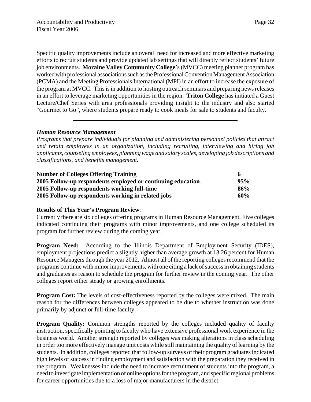Page 32

Specific quality improvements include an overall need for increased and more effective marketing efforts to recruit students and provide updated lab settings that will directly reflect students' future job environments. **Moraine Valley Community College**'s (MVCC) meeting planner program has worked with professional associations such as the Professional Convention Management Association (PCMA) and the Meeting Professionals International (MPI) in an effort to increase the exposure of the program at MVCC. This is in addition to hosting outreach seminars and preparing news releases in an effort to leverage marketing opportunities in the region. **Triton College** has initiated a Guest Lecture/Chef Series with area professionals providing insight to the industry and also started "Gourmet to Go", where students prepare ready to cook meals for sale to students and faculty.

# *Human Resource Management*

*Programs that prepare individuals for planning and administering personnel policies that attract and retain employees in an organization, including recruiting, interviewing and hiring job applicants, counseling employees, planning wage and salary scales, developing job descriptions and classifications, and benefits management.*

| <b>Number of Colleges Offering Training</b>                 |     |
|-------------------------------------------------------------|-----|
| 2005 Follow-up respondents employed or continuing education | 95% |
| 2005 Follow-up respondents working full-time                | 86% |
| 2005 Follow-up respondents working in related jobs          | 60% |

#### **Results of This Year's Program Review**:

Currently there are six colleges offering programs in Human Resource Management. Five colleges indicated continuing their programs with minor improvements, and one college scheduled its program for further review during the coming year.

**Program Need:** According to the Illinois Department of Employment Security (IDES), employment projections predict a slightly higher than average growth at 13.26 percent for Human Resource Managers through the year 2012. Almost all of the reporting colleges recommend that the programs continue with minor improvements, with one citing a lack of success in obtaining students and graduates as reason to schedule the program for further review in the coming year. The other colleges report either steady or growing enrollments.

**Program Cost:** The levels of cost-effectiveness reported by the colleges were mixed. The main reason for the differences between colleges appeared to be due to whether instruction was done primarily by adjunct or full-time faculty.

**Program Quality:** Common strengths reported by the colleges included quality of faculty instruction, specifically pointing to faculty who have extensive professional work experience in the business world. Another strength reported by colleges was making alterations in class scheduling in order too more effectively manage unit costs while still maintaining the quality of learning by the students. In addition, colleges reported that follow-up surveys of their program graduates indicated high levels of success in finding employment and satisfaction with the preparation they received in the program. Weaknesses include the need to increase recruitment of students into the program, a need to investigate implementation of online options for the program, and specific regional problems for career opportunities due to a loss of major manufacturers in the district.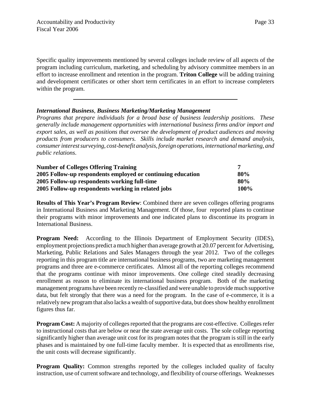Specific quality improvements mentioned by several colleges include review of all aspects of the program including curriculum, marketing, and scheduling by advisory committee members in an effort to increase enrollment and retention in the program. **Triton College** will be adding training and development certificates or other short term certificates in an effort to increase completers within the program.

# *International Business*, *Business Marketing/Marketing Management*

*Programs that prepare individuals for a broad base of business leadership positions. These generally include management opportunities with international business firms and/or import and export sales, as well as positions that oversee the development of product audiences and moving products from producers to consumers. Skills include market research and demand analysis, consumer interest surveying, cost-benefit analysis, foreign operations, international marketing, and public relations*.

| <b>Number of Colleges Offering Training</b>                 |                 |
|-------------------------------------------------------------|-----------------|
| 2005 Follow-up respondents employed or continuing education | 80%             |
| 2005 Follow-up respondents working full-time                | 80 <sup>%</sup> |
| 2005 Follow-up respondents working in related jobs          | 100%            |

**Results of This Year's Program Review**: Combined there are seven colleges offering programs in International Business and Marketing Management. Of those, four reported plans to continue their programs with minor improvements and one indicated plans to discontinue its program in International Business.

**Program Need:** According to the Illinois Department of Employment Security (IDES), employment projections predict a much higher than average growth at 20.07 percent for Advertising, Marketing, Public Relations and Sales Managers through the year 2012. Two of the colleges reporting in this program title are international business programs, two are marketing management programs and three are e-commerce certificates. Almost all of the reporting colleges recommend that the programs continue with minor improvements. One college cited steadily decreasing enrollment as reason to eliminate its international business program. Both of the marketing management programs have been recently re-classified and were unable to provide much supportive data, but felt strongly that there was a need for the program. In the case of e-commerce, it is a relatively new program that also lacks a wealth of supportive data, but does show healthy enrollment figures thus far.

**Program Cost:** A majority of colleges reported that the programs are cost-effective. Colleges refer to instructional costs that are below or near the state average unit costs. The sole college reporting significantly higher than average unit cost for its program notes that the program is still in the early phases and is maintained by one full-time faculty member. It is expected that as enrollments rise, the unit costs will decrease significantly.

**Program Quality:** Common strengths reported by the colleges included quality of faculty instruction, use of current software and technology, and flexibility of course offerings. Weaknesses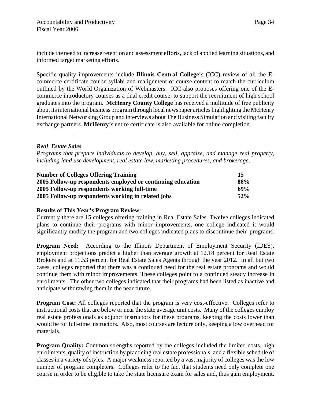include the need to increase retention and assessment efforts, lack of applied learning situations, and informed target marketing efforts.

Specific quality improvements include **Illinois Central College**'s (ICC) review of all the Ecommerce certificate course syllabi and realignment of course content to match the curriculum outlined by the World Organization of Webmasters. ICC also proposes offering one of the Ecommerce introductory courses as a dual credit course, to support the recruitment of high school graduates into the program. **McHenry County College** has received a multitude of free publicity about its international business program through local newspaper articles highlighting the McHenry International Networking Group and interviews about The Business Simulation and visiting faculty exchange partners. **McHenry**'s entire certificate is also available for online completion.

# *Real Estate Sales*

*Programs that prepare individuals to develop, buy, sell, appraise, and manage real property, including land use development, real estate law, marketing procedures, and brokerage*.

| <b>Number of Colleges Offering Training</b>                 |     |
|-------------------------------------------------------------|-----|
| 2005 Follow-up respondents employed or continuing education | 88% |
| 2005 Follow-up respondents working full-time                | 69% |
| 2005 Follow-up respondents working in related jobs          | 52% |

# **Results of This Year's Program Review**:

Currently there are 15 colleges offering training in Real Estate Sales. Twelve colleges indicated plans to continue their programs with minor improvements, one college indicated it would significantly modify the program and two colleges indicated plans to discontinue their programs.

**Program Need:** According to the Illinois Department of Employment Security (IDES), employment projections predict a higher than average growth at 12.18 percent for Real Estate Brokers and at 11.53 percent for Real Estate Sales Agents through the year 2012. In all but two cases, colleges reported that there was a continued need for the real estate programs and would continue them with minor improvements. These colleges point to a continued steady increase in enrollments. The other two colleges indicated that their programs had been listed as inactive and anticipate withdrawing them in the near future.

**Program Cost:** All colleges reported that the program is very cost-effective. Colleges refer to instructional costs that are below or near the state average unit costs. Many of the colleges employ real estate professionals as adjunct instructors for these programs, keeping the costs lower than would be for full-time instructors. Also, most courses are lecture only, keeping a low overhead for materials.

**Program Quality:** Common strengths reported by the colleges included the limited costs, high enrollments, quality of instruction by practicing real estate professionals, and a flexible schedule of classes in a variety of styles. A major weakness reported by a vast majority of colleges was the low number of program completers. Colleges refer to the fact that students need only complete one course in order to be eligible to take the state licensure exam for sales and, thus gain employment.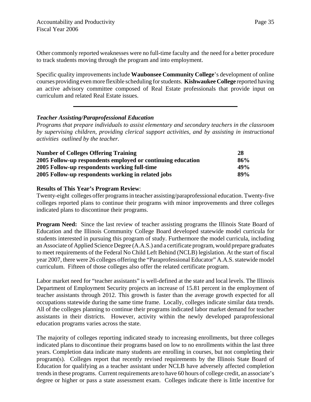Other commonly reported weaknesses were no full-time faculty and the need for a better procedure to track students moving through the program and into employment.

Specific quality improvements include **Waubonsee Community College**'s development of online courses providing even more flexible scheduling for students. **Kishwaukee College** reported having an active advisory committee composed of Real Estate professionals that provide input on curriculum and related Real Estate issues.

# *Teacher Assisting/Paraprofessional Education*

*Programs that prepare individuals to assist elementary and secondary teachers in the classroom by supervising children, providing clerical support activities, and by assisting in instructional activities outlined by the teacher.*

| <b>Number of Colleges Offering Training</b>                 |     |
|-------------------------------------------------------------|-----|
| 2005 Follow-up respondents employed or continuing education | 86% |
| 2005 Follow-up respondents working full-time                | 49% |
| 2005 Follow-up respondents working in related jobs          | 89% |

# **Results of This Year's Program Review**:

Twenty-eight colleges offer programs in teacher assisting/paraprofessional education. Twenty-five colleges reported plans to continue their programs with minor improvements and three colleges indicated plans to discontinue their programs.

**Program Need:** Since the last review of teacher assisting programs the Illinois State Board of Education and the Illinois Community College Board developed statewide model curricula for students interested in pursuing this program of study. Furthermore the model curricula, including an Associate of Applied Science Degree (A.A.S.) and a certificate program, would prepare graduates to meet requirements of the Federal No Child Left Behind (NCLB) legislation. At the start of fiscal year 2007, there were 26 colleges offering the "Paraprofessional Educator" A.A.S. statewide model curriculum. Fifteen of those colleges also offer the related certificate program.

Labor market need for "teacher assistants" is well-defined at the state and local levels. The Illinois Department of Employment Security projects an increase of 15.81 percent in the employment of teacher assistants through 2012. This growth is faster than the average growth expected for all occupations statewide during the same time frame. Locally, colleges indicate similar data trends. All of the colleges planning to continue their programs indicated labor market demand for teacher assistants in their districts. However, activity within the newly developed paraprofessional education programs varies across the state.

The majority of colleges reporting indicated steady to increasing enrollments, but three colleges indicated plans to discontinue their programs based on low to no enrollments within the last three years. Completion data indicate many students are enrolling in courses, but not completing their program(s). Colleges report that recently revised requirements by the Illinois State Board of Education for qualifying as a teacher assistant under NCLB have adversely affected completion trends in these programs. Current requirements are to have 60 hours of college credit, an associate's degree or higher or pass a state assessment exam. Colleges indicate there is little incentive for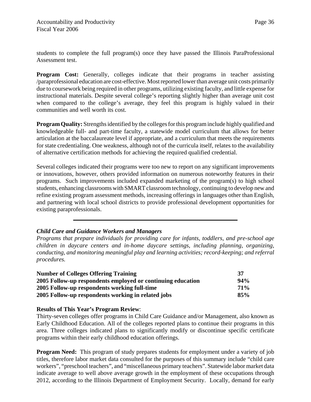students to complete the full program(s) once they have passed the Illinois ParaProfessional Assessment test.

**Program Cost:** Generally, colleges indicate that their programs in teacher assisting /paraprofessional education are cost-effective. Most reported lower than average unit costs primarily due to coursework being required in other programs, utilizing existing faculty, and little expense for instructional materials. Despite several college's reporting slightly higher than average unit cost when compared to the college's average, they feel this program is highly valued in their communities and well worth its cost.

**Program Quality:** Strengths identified by the colleges for this program include highly qualified and knowledgeable full- and part-time faculty, a statewide model curriculum that allows for better articulation at the baccalaureate level if appropriate, and a curriculum that meets the requirements for state credentialing. One weakness, although not of the curricula itself, relates to the availability of alternative certification methods for achieving the required qualified credential.

Several colleges indicated their programs were too new to report on any significant improvements or innovations, however, others provided information on numerous noteworthy features in their programs. Such improvements included expanded marketing of the program(s) to high school students, enhancing classrooms with SMART classroom technology, continuing to develop new and refine existing program assessment methods, increasing offerings in languages other than English, and partnering with local school districts to provide professional development opportunities for existing paraprofessionals.

# *Child Care and Guidance Workers and Managers*

*Programs that prepare individuals for providing care for infants, toddlers, and pre-school age children in daycare centers and in-home daycare settings, including planning, organizing, conducting, and monitoring meaningful play and learning activities; record-keeping; and referral procedures.*

| <b>Number of Colleges Offering Training</b>                 |            |
|-------------------------------------------------------------|------------|
| 2005 Follow-up respondents employed or continuing education | 94%        |
| 2005 Follow-up respondents working full-time                | <b>71%</b> |
| 2005 Follow-up respondents working in related jobs          | 85%        |

#### **Results of This Year's Program Review**:

Thirty-seven colleges offer programs in Child Care Guidance and/or Management, also known as Early Childhood Education. All of the colleges reported plans to continue their programs in this area. Three colleges indicated plans to significantly modify or discontinue specific certificate programs within their early childhood education offerings.

**Program Need:** This program of study prepares students for employment under a variety of job titles, therefore labor market data consulted for the purposes of this summary include "child care workers", "preschool teachers", and "miscellaneous primary teachers". Statewide labor market data indicate average to well above average growth in the employment of these occupations through 2012, according to the Illinois Department of Employment Security. Locally, demand for early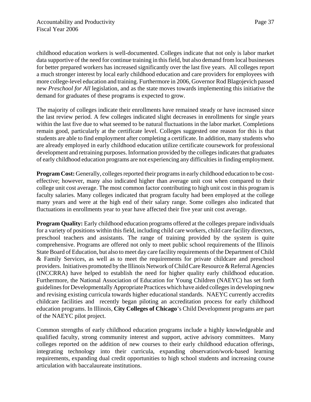childhood education workers is well-documented. Colleges indicate that not only is labor market data supportive of the need for continue training in this field, but also demand from local businesses for better prepared workers has increased significantly over the last five years. All colleges report a much stronger interest by local early childhood education and care providers for employees with more college-level education and training. Furthermore in 2006, Governor Rod Blagojevich passed new *Preschool for All* legislation, and as the state moves towards implementing this initiative the demand for graduates of these programs is expected to grow.

The majority of colleges indicate their enrollments have remained steady or have increased since the last review period. A few colleges indicated slight decreases in enrollments for single years within the last five due to what seemed to be natural fluctuations in the labor market. Completions remain good, particularly at the certificate level. Colleges suggested one reason for this is that students are able to find employment after completing a certificate. In addition, many students who are already employed in early childhood education utilize certificate coursework for professional development and retraining purposes. Information provided by the colleges indicates that graduates of early childhood education programs are not experiencing any difficulties in finding employment.

**Program Cost:** Generally, colleges reported their programs in early childhood education to be costeffective; however, many also indicated higher than average unit cost when compared to their college unit cost average. The most common factor contributing to high unit cost in this program is faculty salaries. Many colleges indicated that program faculty had been employed at the college many years and were at the high end of their salary range. Some colleges also indicated that fluctuations in enrollments year to year have affected their five year unit cost average.

**Program Quality:** Early childhood education programs offered at the colleges prepare individuals for a variety of positions within this field, including child care workers, child care facility directors, preschool teachers and assistants. The range of training provided by the system is quite comprehensive. Programs are offered not only to meet public school requirements of the Illinois State Board of Education, but also to meet day care facility requirements of the Department of Child & Family Services, as well as to meet the requirements for private childcare and preschool providers. Initiatives promoted by the Illinois Network of Child Care Resource & Referral Agencies (INCCRRA) have helped to establish the need for higher quality early childhood education. Furthermore, the National Association of Education for Young Children (NAEYC) has set forth guidelines for Developmentally Appropriate Practices which have aided colleges in developing new and revising existing curricula towards higher educational standards. NAEYC currently accredits childcare facilities and recently began piloting an accreditation process for early childhood education programs. In Illinois, **City Colleges of Chicago**'s Child Development programs are part of the NAEYC pilot project.

Common strengths of early childhood education programs include a highly knowledgeable and qualified faculty, strong community interest and support, active advisory committees. Many colleges reported on the addition of new courses to their early childhood education offerings, integrating technology into their curricula, expanding observation/work-based learning requirements, expanding dual credit opportunities to high school students and increasing course articulation with baccalaureate institutions.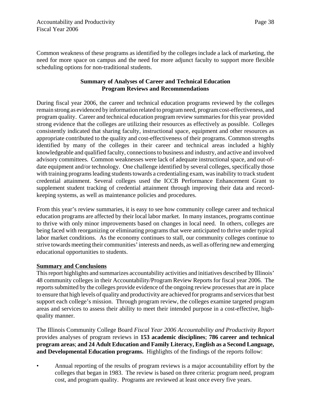Common weakness of these programs as identified by the colleges include a lack of marketing, the need for more space on campus and the need for more adjunct faculty to support more flexible scheduling options for non-traditional students.

# **Summary of Analyses of Career and Technical Education Program Reviews and Recommendations**

During fiscal year 2006, the career and technical education programs reviewed by the colleges remain strong as evidenced by information related to program need, program cost-effectiveness, and program quality. Career and technical education program review summaries for this year provided strong evidence that the colleges are utilizing their resources as effectively as possible. Colleges consistently indicated that sharing faculty, instructional space, equipment and other resources as appropriate contributed to the quality and cost-effectiveness of their programs. Common strengths identified by many of the colleges in their career and technical areas included a highly knowledgeable and qualified faculty, connections to business and industry, and active and involved advisory committees. Common weaknesses were lack of adequate instructional space, and out-ofdate equipment and/or technology. One challenge identified by several colleges, specifically those with training programs leading students towards a credentialing exam, was inability to track student credential attainment. Several colleges used the ICCB Performance Enhancement Grant to supplement student tracking of credential attainment through improving their data and recordkeeping systems, as well as maintenance policies and procedures.

From this year's review summaries, it is easy to see how community college career and technical education programs are affected by their local labor market. In many instances, programs continue to thrive with only minor improvements based on changes in local need. In others, colleges are being faced with reorganizing or eliminating programs that were anticipated to thrive under typical labor market conditions. As the economy continues to stall, our community colleges continue to strive towards meeting their communities' interests and needs, as well as offering new and emerging educational opportunities to students.

# **Summary and Conclusions**

This report highlights and summarizes accountability activities and initiatives described by Illinois' 48 community colleges in their Accountability/Program Review Reports for fiscal year 2006. The reports submitted by the colleges provide evidence of the ongoing review processes that are in place to ensure that high levels of quality and productivity are achieved for programs and services that best support each college's mission. Through program review, the colleges examine targeted program areas and services to assess their ability to meet their intended purpose in a cost-effective, highquality manner.

The Illinois Community College Board *Fiscal Year 2006 Accountability and Productivity Report* provides analyses of program reviews in **153 academic disciplines**; **786 career and technical program areas**; **and 24 Adult Education and Family Literacy, English as a Second Language, and Developmental Education programs.** Highlights of the findings of the reports follow:

• Annual reporting of the results of program reviews is a major accountability effort by the colleges that began in 1983. The review is based on three criteria: program need, program cost, and program quality. Programs are reviewed at least once every five years.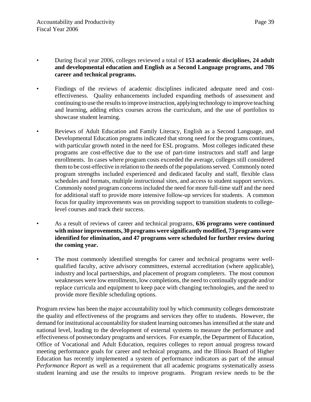- During fiscal year 2006, colleges reviewed a total of **153 academic disciplines, 24 adult and developmental education and English as a Second Language programs, and 786 career and technical programs.**
- Findings of the reviews of academic disciplines indicated adequate need and costeffectiveness. Quality enhancements included expanding methods of assessment and continuing to use the results to improve instruction, applying technology to improve teaching and learning, adding ethics courses across the curriculum, and the use of portfolios to showcase student learning.
- Reviews of Adult Education and Family Literacy, English as a Second Language, and Developmental Education programs indicated that strong need for the programs continues, with particular growth noted in the need for ESL programs. Most colleges indicated these programs are cost-effective due to the use of part-time instructors and staff and large enrollments. In cases where program costs exceeded the average, colleges still considered them to be cost-effective in relation to the needs of the populations served. Commonly noted program strengths included experienced and dedicated faculty and staff, flexible class schedules and formats, multiple instructional sites, and access to student support services. Commonly noted program concerns included the need for more full-time staff and the need for additional staff to provide more intensive follow-up services for students. A common focus for quality improvements was on providing support to transition students to collegelevel courses and track their success.
- As a result of reviews of career and technical programs, **636 programs were continued with minor improvements, 30 programs were significantly modified, 73 programs were identified for elimination, and 47 programs were scheduled for further review during the coming year.**
- The most commonly identified strengths for career and technical programs were wellqualified faculty, active advisory committees, external accreditation (where applicable), industry and local partnerships, and placement of program completers. The most common weaknesses were low enrollments, low completions, the need to continually upgrade and/or replace curricula and equipment to keep pace with changing technologies, and the need to provide more flexible scheduling options.

Program review has been the major accountability tool by which community colleges demonstrate the quality and effectiveness of the programs and services they offer to students. However, the demand for institutional accountability for student learning outcomes has intensified at the state and national level, leading to the development of external systems to measure the performance and effectiveness of postsecondary programs and services. For example, the Department of Education, Office of Vocational and Adult Education, requires colleges to report annual progress toward meeting performance goals for career and technical programs, and the Illinois Board of Higher Education has recently implemented a system of performance indicators as part of the annual *Performance Report* as well as a requirement that all academic programs systematically assess student learning and use the results to improve programs. Program review needs to be the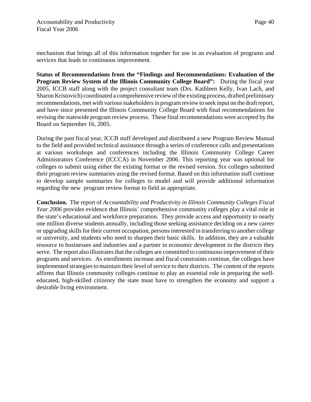mechanism that brings all of this information together for use in an evaluation of programs and services that leads to continuous improvement.

**Status of Recommendations from the "Findings and Recommendations: Evaluation of the Program Review System of the Illinois Community College Board":** During the fiscal year 2005, ICCB staff along with the project consultant team (Drs. Kathleen Kelly, Ivan Lach, and Sharon Kristovich) coordinated a comprehensive review of the existing process, drafted preliminary recommendations, met with various stakeholders in program review to seek input on the draft report, and have since presented the Illinois Community College Board with final recommendations for revising the statewide program review process. These final recommendations were accepted by the Board on September 16, 2005.

During the past fiscal year, ICCB staff developed and distributed a new Program Review Manual to the field and provided technical assistance through a series of conference calls and presentations at various workshops and conferences including the Illinois Community College Career Administrators Conference (ICCCA) in November 2006. This reporting year was optional for colleges to submit using either the existing format or the revised version. Six colleges submitted their program review summaries using the revised format. Based on this information staff continue to develop sample summaries for colleges to model and will provide additional information regarding the new program review format to field as appropriate.

**Conclusion.** The report of *Accountability and Productivity in Illinois Community Colleges Fiscal Year 2006* provides evidence that Illinois' comprehensive community colleges play a vital role in the state's educational and workforce preparation. They provide access and opportunity to nearly one million diverse students annually, including those seeking assistance deciding on a new career or upgrading skills for their current occupation, persons interested in transferring to another college or university, and students who need to sharpen their basic skills. In addition, they are a valuable resource to businesses and industries and a partner in economic development in the districts they serve. The report also illustrates that the colleges are committed to continuous improvement of their programs and services. As enrollments increase and fiscal constraints continue, the colleges have implemented strategies to maintain their level of service to their districts. The content of the reports affirms that Illinois community colleges continue to play an essential role in preparing the welleducated, high-skilled citizenry the state must have to strengthen the economy and support a desirable living environment.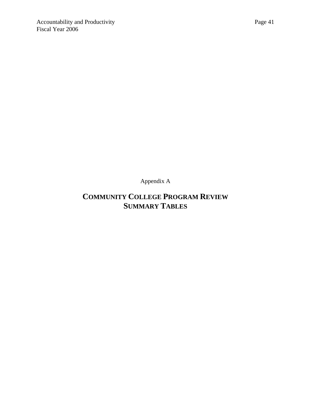Appendix A

# **COMMUNITY COLLEGE PROGRAM REVIEW SUMMARY TABLES**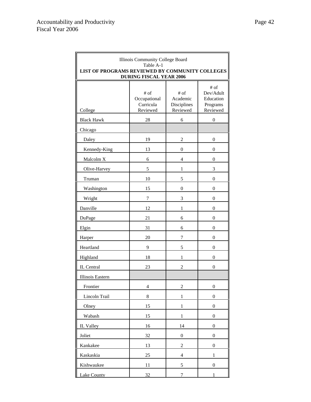| Illinois Community College Board<br>Table A-1<br>LIST OF PROGRAMS REVIEWED BY COMMUNITY COLLEGES<br><b>DURING FISCAL YEAR 2006</b> |                                                 |                                               |                                                          |
|------------------------------------------------------------------------------------------------------------------------------------|-------------------------------------------------|-----------------------------------------------|----------------------------------------------------------|
| College                                                                                                                            | $#$ of<br>Occupational<br>Curricula<br>Reviewed | $#$ of<br>Academic<br>Disciplines<br>Reviewed | $#$ of<br>Dev/Adult<br>Education<br>Programs<br>Reviewed |
| <b>Black Hawk</b>                                                                                                                  | 28                                              | 6                                             | $\boldsymbol{0}$                                         |
| Chicago                                                                                                                            |                                                 |                                               |                                                          |
| Daley                                                                                                                              | 19                                              | $\overline{c}$                                | 0                                                        |
| Kennedy-King                                                                                                                       | 13                                              | 0                                             | 0                                                        |
| Malcolm X                                                                                                                          | 6                                               | 4                                             | 0                                                        |
| Olive-Harvey                                                                                                                       | 5                                               | 1                                             | 3                                                        |
| Truman                                                                                                                             | 10                                              | 5                                             | 0                                                        |
| Washington                                                                                                                         | 15                                              | $\overline{0}$                                | $\mathbf{0}$                                             |
| Wright                                                                                                                             | 7                                               | 3                                             | $\boldsymbol{0}$                                         |
| Danville                                                                                                                           | 12                                              | 1                                             | 0                                                        |
| DuPage                                                                                                                             | 21                                              | 6                                             | 0                                                        |
| Elgin                                                                                                                              | 31                                              | 6                                             | 0                                                        |
| Harper                                                                                                                             | 20                                              | 7                                             | 0                                                        |
| Heartland                                                                                                                          | 9                                               | 5                                             | 0                                                        |
| Highland                                                                                                                           | 18                                              | 1                                             | 0                                                        |
| IL Central                                                                                                                         | 23                                              | $\overline{c}$                                | $\mathbf{0}$                                             |
| Illinois Eastern                                                                                                                   |                                                 |                                               |                                                          |
| Frontier                                                                                                                           | $\overline{\mathbf{4}}$                         | $\overline{c}$                                | $\boldsymbol{0}$                                         |
| Lincoln Trail                                                                                                                      | 8                                               | $\mathbf{1}$                                  | $\boldsymbol{0}$                                         |
| Olney                                                                                                                              | 15                                              | $\mathbf 1$                                   | $\boldsymbol{0}$                                         |
| Wabash                                                                                                                             | 15                                              | $\mathbf{1}$                                  | $\boldsymbol{0}$                                         |
| IL Valley                                                                                                                          | 16                                              | 14                                            | $\boldsymbol{0}$                                         |
| Joliet                                                                                                                             | 32                                              | $\boldsymbol{0}$                              | $\boldsymbol{0}$                                         |
| Kankakee                                                                                                                           | 13                                              | $\overline{c}$                                | $\boldsymbol{0}$                                         |
| Kaskaskia                                                                                                                          | $25\,$                                          | 4                                             | 1                                                        |
| Kishwaukee                                                                                                                         | 11                                              | 5                                             | $\boldsymbol{0}$                                         |
| <b>Lake County</b>                                                                                                                 | 32                                              | 7                                             | 1                                                        |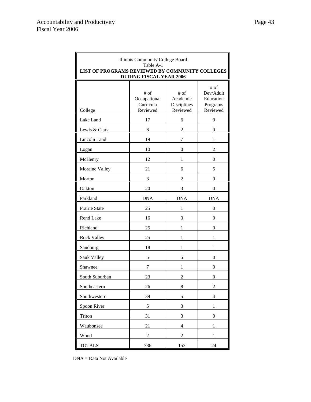| Illinois Community College Board<br>Table A-1<br>LIST OF PROGRAMS REVIEWED BY COMMUNITY COLLEGES<br><b>DURING FISCAL YEAR 2006</b> |                                                 |                                               |                                                        |
|------------------------------------------------------------------------------------------------------------------------------------|-------------------------------------------------|-----------------------------------------------|--------------------------------------------------------|
| College                                                                                                                            | $#$ of<br>Occupational<br>Curricula<br>Reviewed | $#$ of<br>Academic<br>Disciplines<br>Reviewed | # of<br>Dev/Adult<br>Education<br>Programs<br>Reviewed |
| Lake Land                                                                                                                          | 17                                              | 6                                             | $\boldsymbol{0}$                                       |
| Lewis & Clark                                                                                                                      | 8                                               | 2                                             | 0                                                      |
| Lincoln Land                                                                                                                       | 19                                              | 7                                             | 1                                                      |
| Logan                                                                                                                              | 10                                              | $\boldsymbol{0}$                              | 2                                                      |
| McHenry                                                                                                                            | 12                                              | 1                                             | 0                                                      |
| Moraine Valley                                                                                                                     | 21                                              | 6                                             | 5                                                      |
| Morton                                                                                                                             | 3                                               | 2                                             | $\theta$                                               |
| Oakton                                                                                                                             | 20                                              | 3                                             | 0                                                      |
| Parkland                                                                                                                           | <b>DNA</b>                                      | <b>DNA</b>                                    | <b>DNA</b>                                             |
| Prairie State                                                                                                                      | 25                                              | 1                                             | 0                                                      |
| Rend Lake                                                                                                                          | 16                                              | 3                                             | $\overline{0}$                                         |
| Richland                                                                                                                           | 25                                              | 1                                             | 0                                                      |
| Rock Valley                                                                                                                        | 25                                              | 1                                             | 1                                                      |
| Sandburg                                                                                                                           | 18                                              | 1                                             | 1                                                      |
| Sauk Valley                                                                                                                        | 5                                               | 5                                             | 0                                                      |
| Shawnee                                                                                                                            | 7                                               | 1                                             | 0                                                      |
| South Suburban                                                                                                                     | 23                                              | $\overline{c}$                                | 0                                                      |
| Southeastern                                                                                                                       | 26                                              | 8                                             | $\overline{c}$                                         |
| Southwestern                                                                                                                       | 39                                              | 5                                             | $\overline{4}$                                         |
| Spoon River                                                                                                                        | $\mathfrak s$                                   | 3                                             | $\mathbf{1}$                                           |
| Triton                                                                                                                             | 31                                              | 3                                             | $\boldsymbol{0}$                                       |
| Waubonsee                                                                                                                          | 21                                              | $\overline{4}$                                | $\mathbf{1}$                                           |
| Wood                                                                                                                               | $\overline{c}$                                  | $\overline{c}$                                | $\mathbf{1}$                                           |
| <b>TOTALS</b>                                                                                                                      | 786                                             | 153                                           | 24                                                     |

DNA = Data Not Available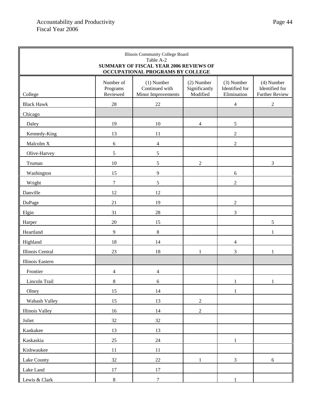Г

| Illinois Community College Board<br>Table A-2<br><b>SUMMARY OF FISCAL YEAR 2006 REVIEWS OF</b> |                                   |                                                      |                                         |                                             |                                                       |
|------------------------------------------------------------------------------------------------|-----------------------------------|------------------------------------------------------|-----------------------------------------|---------------------------------------------|-------------------------------------------------------|
| OCCUPATIONAL PROGRAMS BY COLLEGE                                                               |                                   |                                                      |                                         |                                             |                                                       |
| College                                                                                        | Number of<br>Programs<br>Reviewed | $(1)$ Number<br>Continued with<br>Minor Improvements | (2) Number<br>Significantly<br>Modified | (3) Number<br>Identified for<br>Elimination | (4) Number<br>Identified for<br><b>Further Review</b> |
| <b>Black Hawk</b>                                                                              | 28                                | $22\,$                                               |                                         | $\overline{4}$                              | $\overline{c}$                                        |
| Chicago                                                                                        |                                   |                                                      |                                         |                                             |                                                       |
| Daley                                                                                          | 19                                | 10                                                   | 4                                       | $\sqrt{5}$                                  |                                                       |
| Kennedy-King                                                                                   | 13                                | 11                                                   |                                         | $\sqrt{2}$                                  |                                                       |
| Malcolm X                                                                                      | 6                                 | $\overline{\mathbf{4}}$                              |                                         | $\overline{2}$                              |                                                       |
| Olive-Harvey                                                                                   | $\sqrt{5}$                        | $\sqrt{5}$                                           |                                         |                                             |                                                       |
| Truman                                                                                         | 10                                | $\sqrt{5}$                                           | $\overline{2}$                          |                                             | $\mathfrak{Z}$                                        |
| Washington                                                                                     | 15                                | 9                                                    |                                         | $\sqrt{6}$                                  |                                                       |
| Wright                                                                                         | $\tau$                            | 5                                                    |                                         | $\overline{2}$                              |                                                       |
| Danville                                                                                       | 12                                | 12                                                   |                                         |                                             |                                                       |
| DuPage                                                                                         | 21                                | 19                                                   |                                         | $\mathfrak{2}$                              |                                                       |
| Elgin                                                                                          | 31                                | $28\,$                                               |                                         | 3                                           |                                                       |
| Harper                                                                                         | 20                                | 15                                                   |                                         |                                             | 5                                                     |
| Heartland                                                                                      | 9                                 | $\,$ 8 $\,$                                          |                                         |                                             | 1                                                     |
| Highland                                                                                       | 18                                | 14                                                   |                                         | $\overline{4}$                              |                                                       |
| Illinois Central                                                                               | 23                                | 18                                                   | $\mathbf{1}$                            | 3                                           | 1                                                     |
| Illinois Eastern                                                                               |                                   |                                                      |                                         |                                             |                                                       |
| Frontier                                                                                       | $\overline{4}$                    | 4                                                    |                                         |                                             |                                                       |
| Lincoln Trail                                                                                  | $\,8\,$                           | $\sqrt{6}$                                           |                                         | $\,1$                                       | $1\,$                                                 |
| Olney                                                                                          | $15\,$                            | $14\,$                                               |                                         | $\mathbf 1$                                 |                                                       |
| Wabash Valley                                                                                  | 15                                | 13                                                   | $\overline{2}$                          |                                             |                                                       |
| <b>Illinois Valley</b>                                                                         | 16                                | 14                                                   | $\overline{2}$                          |                                             |                                                       |
| Joliet                                                                                         | 32                                | 32                                                   |                                         |                                             |                                                       |
| Kankakee                                                                                       | 13                                | 13                                                   |                                         |                                             |                                                       |
| Kaskaskia                                                                                      | 25                                | $24\,$                                               |                                         | $\mathbf{1}$                                |                                                       |
| Kishwaukee                                                                                     | $11\,$                            | $11\,$                                               |                                         |                                             |                                                       |
| Lake County                                                                                    | $32\,$                            | $22\,$                                               | $\mathbf{1}$                            | $\overline{3}$                              | $6\phantom{.}6$                                       |
| Lake Land                                                                                      | $17\,$                            | $17\,$                                               |                                         |                                             |                                                       |
| Lewis & Clark                                                                                  | 8                                 | $\overline{7}$                                       |                                         | -1                                          |                                                       |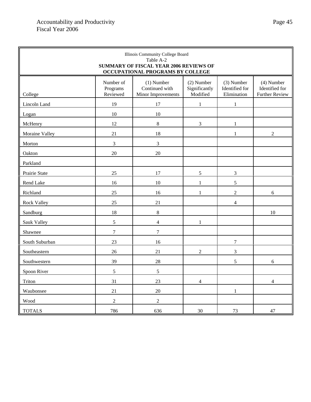r.

| Illinois Community College Board<br>Table A-2<br><b>SUMMARY OF FISCAL YEAR 2006 REVIEWS OF</b><br>OCCUPATIONAL PROGRAMS BY COLLEGE |                                   |                                                      |                                         |                                             |                                                         |
|------------------------------------------------------------------------------------------------------------------------------------|-----------------------------------|------------------------------------------------------|-----------------------------------------|---------------------------------------------|---------------------------------------------------------|
| College                                                                                                                            | Number of<br>Programs<br>Reviewed | $(1)$ Number<br>Continued with<br>Minor Improvements | (2) Number<br>Significantly<br>Modified | (3) Number<br>Identified for<br>Elimination | $(4)$ Number<br>Identified for<br><b>Further Review</b> |
| Lincoln Land                                                                                                                       | 19                                | 17                                                   | 1                                       |                                             |                                                         |
| Logan                                                                                                                              | $10\,$                            | 10                                                   |                                         |                                             |                                                         |
| McHenry                                                                                                                            | 12                                | $8\,$                                                | 3                                       | 1                                           |                                                         |
| Moraine Valley                                                                                                                     | 21                                | $18\,$                                               |                                         | 1                                           | $\sqrt{2}$                                              |
| Morton                                                                                                                             | 3                                 | 3                                                    |                                         |                                             |                                                         |
| Oakton                                                                                                                             | $20\,$                            | $20\,$                                               |                                         |                                             |                                                         |
| Parkland                                                                                                                           |                                   |                                                      |                                         |                                             |                                                         |
| Prairie State                                                                                                                      | 25                                | 17                                                   | 5                                       | $\mathfrak{Z}$                              |                                                         |
| Rend Lake                                                                                                                          | 16                                | $10\,$                                               | 1                                       | 5                                           |                                                         |
| Richland                                                                                                                           | 25                                | 16                                                   | 1                                       | $\overline{2}$                              | 6                                                       |
| <b>Rock Valley</b>                                                                                                                 | 25                                | 21                                                   |                                         | 4                                           |                                                         |
| Sandburg                                                                                                                           | 18                                | $\,$ 8 $\,$                                          |                                         |                                             | 10                                                      |
| Sauk Valley                                                                                                                        | 5                                 | 4                                                    | 1                                       |                                             |                                                         |
| Shawnee                                                                                                                            | $\tau$                            | 7                                                    |                                         |                                             |                                                         |
| South Suburban                                                                                                                     | 23                                | 16                                                   |                                         | $\tau$                                      |                                                         |
| Southeastern                                                                                                                       | 26                                | 21                                                   | $\mathfrak{2}$                          | 3                                           |                                                         |
| Southwestern                                                                                                                       | 39                                | 28                                                   |                                         | 5                                           | $6\,$                                                   |
| Spoon River                                                                                                                        | 5                                 | 5                                                    |                                         |                                             |                                                         |
| Triton                                                                                                                             | 31                                | 23                                                   | $\overline{4}$                          |                                             | $\overline{4}$                                          |
| Waubonsee                                                                                                                          | 21                                | $20\,$                                               |                                         | $\mathbf{1}$                                |                                                         |
| Wood                                                                                                                               | $\sqrt{2}$                        | $\sqrt{2}$                                           |                                         |                                             |                                                         |
| <b>TOTALS</b>                                                                                                                      | 786                               | 636                                                  | $30\,$                                  | 73                                          | 47                                                      |

a.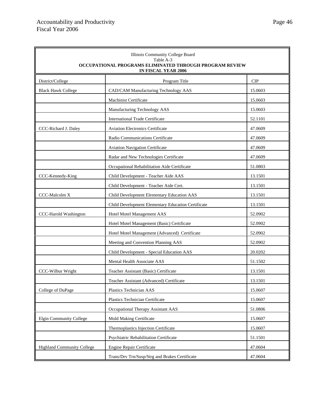ř.

| Illinois Community College Board<br>Table A-3<br>OCCUPATIONAL PROGRAMS ELIMINATED THROUGH PROGRAM REVIEW<br>IN FISCAL YEAR 2006 |                                                    |            |  |  |
|---------------------------------------------------------------------------------------------------------------------------------|----------------------------------------------------|------------|--|--|
| District/College                                                                                                                | Program Title                                      | <b>CIP</b> |  |  |
| <b>Black Hawk College</b>                                                                                                       | CAD/CAM Manufacturing Technology AAS               | 15.0603    |  |  |
|                                                                                                                                 | <b>Machinist Certificate</b>                       | 15.0603    |  |  |
|                                                                                                                                 | Manufacturing Technology AAS                       | 15.0603    |  |  |
|                                                                                                                                 | <b>International Trade Certificate</b>             | 52.1101    |  |  |
| CCC-Richard J. Daley                                                                                                            | <b>Aviation Electronics Certificate</b>            | 47.0609    |  |  |
|                                                                                                                                 | Radio Communications Certificate                   | 47.0609    |  |  |
|                                                                                                                                 | <b>Aviation Navigation Certificate</b>             | 47.0609    |  |  |
|                                                                                                                                 | Radar and New Technologies Certificate             | 47.0609    |  |  |
|                                                                                                                                 | Occupational Rehabilitation Aide Certificate       | 51.0803    |  |  |
| CCC-Kennedy-King                                                                                                                | Child Development - Teacher Aide AAS               | 13.1501    |  |  |
|                                                                                                                                 | Child Development - Teacher Aide Cert.             | 13.1501    |  |  |
| CCC-Malcolm X                                                                                                                   | Child Development Elementary Education AAS         | 13.1501    |  |  |
|                                                                                                                                 | Child Development Elementary Education Certificate | 13.1501    |  |  |
| CCC-Harold Washington                                                                                                           | Hotel Motel Management AAS                         | 52.0902    |  |  |
|                                                                                                                                 | Hotel Motel Management (Basic) Certificate         | 52.0902    |  |  |
|                                                                                                                                 | Hotel Motel Management (Advanced) Certificate      | 52.0902    |  |  |
|                                                                                                                                 | Meeting and Convention Planning AAS                | 52.0902    |  |  |
|                                                                                                                                 | Child Development - Special Education AAS          | 20.0202    |  |  |
|                                                                                                                                 | Mental Health Associate AAS                        | 51.1502    |  |  |
| CCC-Wilbur Wright                                                                                                               | Teacher Assistant (Basic) Certificate              | 13.1501    |  |  |
|                                                                                                                                 | Teacher Assistant (Advanced) Certificate           | 13.1501    |  |  |
| College of DuPage                                                                                                               | Plastics Technician AAS                            | 15.0607    |  |  |
|                                                                                                                                 | Plastics Technician Certificate                    | 15.0607    |  |  |
|                                                                                                                                 | Occupational Therapy Assistant AAS                 | 51.0806    |  |  |
| <b>Elgin Community College</b>                                                                                                  | Mold Making Certificate                            | 15.0607    |  |  |
|                                                                                                                                 | Thermoplastics Injection Certificate               | 15.0607    |  |  |
|                                                                                                                                 | Psychiatric Rehabilitation Certificate             | 51.1501    |  |  |
| <b>Highland Community College</b>                                                                                               | Engine Repair Certificate                          | 47.0604    |  |  |
|                                                                                                                                 | Trans/Drv Trn/Susp/Strg and Brakes Certificate     | 47.0604    |  |  |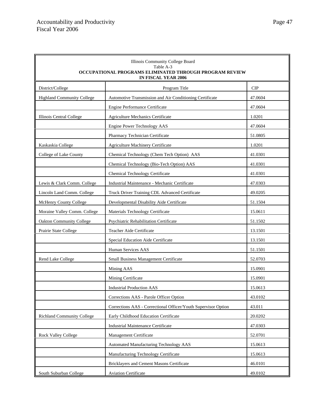| Illinois Community College Board<br>Table A-3<br>OCCUPATIONAL PROGRAMS ELIMINATED THROUGH PROGRAM REVIEW<br><b>IN FISCAL YEAR 2006</b> |                                                                |            |  |  |
|----------------------------------------------------------------------------------------------------------------------------------------|----------------------------------------------------------------|------------|--|--|
| District/College                                                                                                                       | Program Title                                                  | <b>CIP</b> |  |  |
| <b>Highland Community College</b>                                                                                                      | Automotive Transmission and Air Conditioning Certificate       | 47.0604    |  |  |
|                                                                                                                                        | Engine Performance Certificate                                 | 47.0604    |  |  |
| Illinois Central College                                                                                                               | <b>Agriculture Mechanics Certificate</b>                       | 1.0201     |  |  |
|                                                                                                                                        | Engine Power Technology AAS                                    | 47.0604    |  |  |
|                                                                                                                                        | Pharmacy Technician Certificate                                | 51.0805    |  |  |
| Kaskaskia College                                                                                                                      | <b>Agriculture Machinery Certificate</b>                       | 1.0201     |  |  |
| College of Lake County                                                                                                                 | Chemical Technology (Chem Tech Option) AAS                     | 41.0301    |  |  |
|                                                                                                                                        | Chemical Technology (Bio-Tech Option) AAS                      | 41.0301    |  |  |
|                                                                                                                                        | Chemical Technology Certificate                                | 41.0301    |  |  |
| Lewis & Clark Comm. College                                                                                                            | Industrial Maintenance - Mechanic Certificate                  | 47.0303    |  |  |
| Lincoln Land Comm. College                                                                                                             | Truck Driver Training CDL Advanced Certificate                 | 49.0205    |  |  |
| McHenry County College                                                                                                                 | Developmental Disability Aide Certificate                      | 51.1504    |  |  |
| Moraine Valley Comm. College                                                                                                           | Materials Technology Certificate                               | 15.0611    |  |  |
| <b>Oakton Community College</b>                                                                                                        | Psychiatric Rehabilitation Certificate                         | 51.1502    |  |  |
| Prairie State College                                                                                                                  | Teacher Aide Certificate                                       | 13.1501    |  |  |
|                                                                                                                                        | Special Education Aide Certificate                             | 13.1501    |  |  |
|                                                                                                                                        | Human Services AAS                                             | 51.1501    |  |  |
| Rend Lake College                                                                                                                      | Small Business Management Certificate                          | 52.0703    |  |  |
|                                                                                                                                        | Mining AAS                                                     | 15.0901    |  |  |
|                                                                                                                                        | Mining Certificate                                             | 15.0901    |  |  |
|                                                                                                                                        | <b>Industrial Production AAS</b>                               | 15.0613    |  |  |
|                                                                                                                                        | Corrections AAS - Parole Officer Option                        | 43.0102    |  |  |
|                                                                                                                                        | Corrections AAS - Correctional Officer/Youth Supervisor Option | 43.011     |  |  |
| <b>Richland Community College</b>                                                                                                      | Early Childhood Education Certificate                          | 20.0202    |  |  |
|                                                                                                                                        | <b>Industrial Maintenance Certificate</b>                      | 47.0303    |  |  |
| <b>Rock Valley College</b>                                                                                                             | Management Certificate                                         | 52.0701    |  |  |
|                                                                                                                                        | Automated Manufacturing Technology AAS                         | 15.0613    |  |  |
|                                                                                                                                        | Manufacturing Technology Certificate                           | 15.0613    |  |  |
|                                                                                                                                        | Bricklayers and Cement Masons Certificate                      | 46.0101    |  |  |
| South Suburban College                                                                                                                 | <b>Aviation Certificate</b>                                    | 49.0102    |  |  |